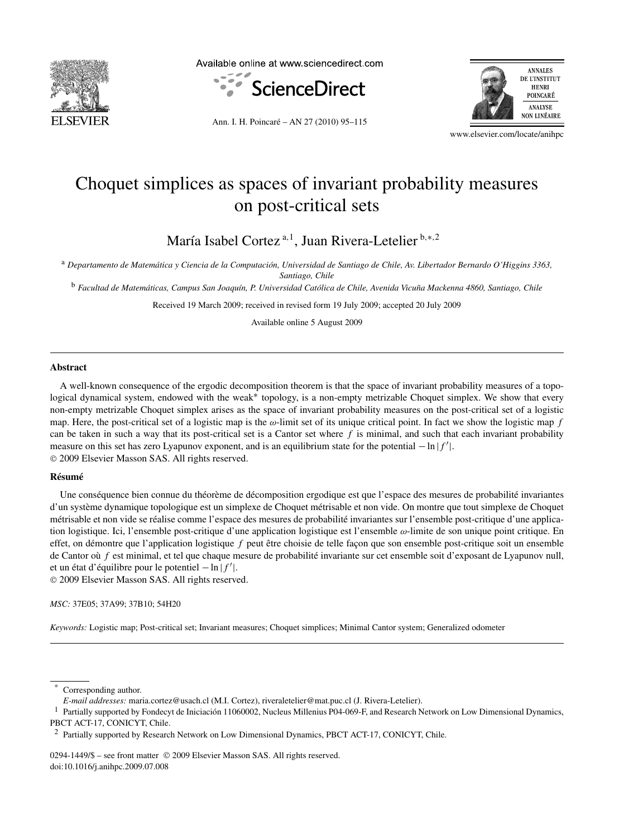

Available online at www.sciencedirect.com





Ann. I. H. Poincaré – AN 27 (2010) 95–115

www.elsevier.com/locate/anihpc

# Choquet simplices as spaces of invariant probability measures on post-critical sets

María Isabel Cortez <sup>a</sup>*,*<sup>1</sup> , Juan Rivera-Letelier <sup>b</sup>*,*∗*,*<sup>2</sup>

<sup>a</sup> *Departamento de Matemática y Ciencia de la Computación, Universidad de Santiago de Chile, Av. Libertador Bernardo O'Higgins 3363, Santiago, Chile*

<sup>b</sup> *Facultad de Matemáticas, Campus San Joaquín, P. Universidad Católica de Chile, Avenida Vicuña Mackenna 4860, Santiago, Chile*

Received 19 March 2009; received in revised form 19 July 2009; accepted 20 July 2009

Available online 5 August 2009

# **Abstract**

A well-known consequence of the ergodic decomposition theorem is that the space of invariant probability measures of a topological dynamical system, endowed with the weak<sup>∗</sup> topology, is a non-empty metrizable Choquet simplex. We show that every non-empty metrizable Choquet simplex arises as the space of invariant probability measures on the post-critical set of a logistic map. Here, the post-critical set of a logistic map is the *ω*-limit set of its unique critical point. In fact we show the logistic map *f* can be taken in such a way that its post-critical set is a Cantor set where  $f$  is minimal, and such that each invariant probability measure on this set has zero Lyapunov exponent, and is an equilibrium state for the potential −ln |*f* |. © 2009 Elsevier Masson SAS. All rights reserved.

# **Résumé**

Une conséquence bien connue du théorème de décomposition ergodique est que l'espace des mesures de probabilité invariantes d'un système dynamique topologique est un simplexe de Choquet métrisable et non vide. On montre que tout simplexe de Choquet métrisable et non vide se réalise comme l'espace des mesures de probabilité invariantes sur l'ensemble post-critique d'une application logistique. Ici, l'ensemble post-critique d'une application logistique est l'ensemble *ω*-limite de son unique point critique. En effet, on démontre que l'application logistique *f* peut être choisie de telle façon que son ensemble post-critique soit un ensemble de Cantor où *f* est minimal, et tel que chaque mesure de probabilité invariante sur cet ensemble soit d'exposant de Lyapunov null, et un état d'équilibre pour le potentiel – ln | *f*'|.

© 2009 Elsevier Masson SAS. All rights reserved.

*MSC:* 37E05; 37A99; 37B10; 54H20

*Keywords:* Logistic map; Post-critical set; Invariant measures; Choquet simplices; Minimal Cantor system; Generalized odometer

0294-1449/\$ – see front matter © 2009 Elsevier Masson SAS. All rights reserved. doi:10.1016/j.anihpc.2009.07.008

Corresponding author.

*E-mail addresses:* maria.cortez@usach.cl (M.I. Cortez), riveraletelier@mat.puc.cl (J. Rivera-Letelier).

<sup>&</sup>lt;sup>1</sup> Partially supported by Fondecyt de Iniciación 11060002, Nucleus Millenius P04-069-F, and Research Network on Low Dimensional Dynamics, PBCT ACT-17, CONICYT, Chile.

<sup>&</sup>lt;sup>2</sup> Partially supported by Research Network on Low Dimensional Dynamics, PBCT ACT-17, CONICYT, Chile.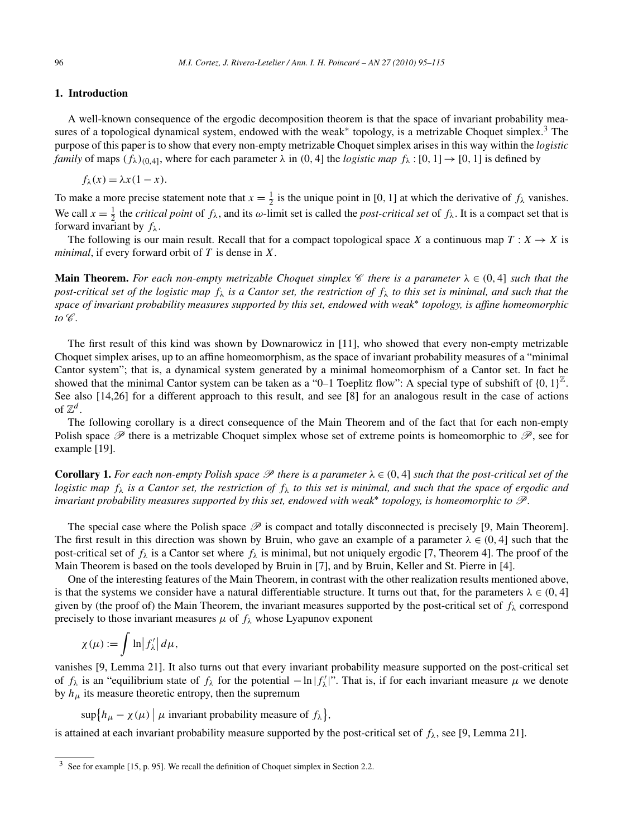# **1. Introduction**

A well-known consequence of the ergodic decomposition theorem is that the space of invariant probability measures of a topological dynamical system, endowed with the weak<sup>∗</sup> topology, is a metrizable Choquet simplex.<sup>3</sup> The purpose of this paper is to show that every non-empty metrizable Choquet simplex arises in this way within the *logistic family* of maps  $(f_\lambda)_{(0,4]}$ , where for each parameter  $\lambda$  in  $(0,4]$  the *logistic map*  $f_\lambda$ :  $[0,1] \rightarrow [0,1]$  is defined by

$$
f_{\lambda}(x) = \lambda x (1 - x).
$$

To make a more precise statement note that  $x = \frac{1}{2}$  is the unique point in [0, 1] at which the derivative of  $f_{\lambda}$  vanishes. We call  $x = \frac{1}{2}$  the *critical point* of  $f_{\lambda}$ , and its *ω*-limit set is called the *post-critical set* of  $f_{\lambda}$ . It is a compact set that is forward invariant by *fλ*.

The following is our main result. Recall that for a compact topological space *X* a continuous map  $T : X \to X$  is *minimal*, if every forward orbit of *T* is dense in *X*.

**Main Theorem.** For each non-empty metrizable Choquet simplex  $\mathscr C$  there is a parameter  $\lambda \in (0, 4]$  such that the *post-critical set of the logistic map fλ is a Cantor set, the restriction of fλ to this set is minimal, and such that the space of invariant probability measures supported by this set, endowed with weak*<sup>∗</sup> *topology, is affine homeomorphic to*  $\mathscr{C}.$ 

The first result of this kind was shown by Downarowicz in [11], who showed that every non-empty metrizable Choquet simplex arises, up to an affine homeomorphism, as the space of invariant probability measures of a "minimal Cantor system"; that is, a dynamical system generated by a minimal homeomorphism of a Cantor set. In fact he showed that the minimal Cantor system can be taken as a "0–1 Toeplitz flow": A special type of subshift of  $\{0, 1\}^{\mathbb{Z}}$ . See also [14,26] for a different approach to this result, and see [8] for an analogous result in the case of actions of  $\mathbb{Z}^d$ .

The following corollary is a direct consequence of the Main Theorem and of the fact that for each non-empty Polish space  $\mathscr P$  there is a metrizable Choquet simplex whose set of extreme points is homeomorphic to  $\mathscr P$ , see for example [19].

**Corollary 1.** For each non-empty Polish space  $\mathcal P$  there is a parameter  $\lambda \in (0, 4]$  such that the post-critical set of the *logistic map fλ is a Cantor set, the restriction of fλ to this set is minimal, and such that the space of ergodic and invariant probability measures supported by this set, endowed with weak*<sup>∗</sup> *topology, is homeomorphic to* P*.*

The special case where the Polish space  $\mathscr P$  is compact and totally disconnected is precisely [9, Main Theorem]. The first result in this direction was shown by Bruin, who gave an example of a parameter  $\lambda \in (0, 4]$  such that the post-critical set of  $f_\lambda$  is a Cantor set where  $f_\lambda$  is minimal, but not uniquely ergodic [7, Theorem 4]. The proof of the Main Theorem is based on the tools developed by Bruin in [7], and by Bruin, Keller and St. Pierre in [4].

One of the interesting features of the Main Theorem, in contrast with the other realization results mentioned above, is that the systems we consider have a natural differentiable structure. It turns out that, for the parameters  $\lambda \in (0, 4]$ given by (the proof of) the Main Theorem, the invariant measures supported by the post-critical set of  $f_\lambda$  correspond precisely to those invariant measures  $\mu$  of  $f_{\lambda}$  whose Lyapunov exponent

$$
\chi(\mu) := \int \ln |f'_{\lambda}| d\mu,
$$

vanishes [9, Lemma 21]. It also turns out that every invariant probability measure supported on the post-critical set of  $f_{\lambda}$  is an "equilibrium state of  $f_{\lambda}$  for the potential  $-\ln |f_{\lambda}'|$ ". That is, if for each invariant measure  $\mu$  we denote by  $h_{\mu}$  its measure theoretic entropy, then the supremum

 $\sup\{h_\mu - \chi(\mu) \mid \mu \text{ invariant probability measure of } f_\lambda\},\$ 

is attained at each invariant probability measure supported by the post-critical set of  $f_\lambda$ , see [9, Lemma 21].

 $3$  See for example [15, p. 95]. We recall the definition of Choquet simplex in Section 2.2.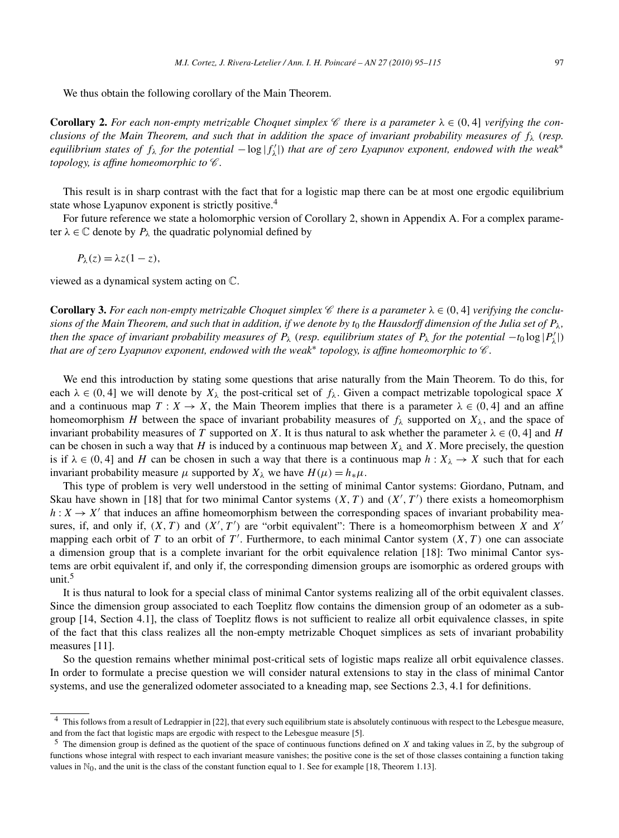We thus obtain the following corollary of the Main Theorem.

**Corollary 2.** For each non-empty metrizable Choquet simplex  $\mathscr C$  there is a parameter  $\lambda \in (0, 4]$  verifying the con*clusions of the Main Theorem, and such that in addition the space of invariant probability measures of fλ* (*resp. equilibrium states of fλ for the potential* −log |*f <sup>λ</sup>*|) *that are of zero Lyapunov exponent, endowed with the weak*<sup>∗</sup> *topology, is affine homeomorphic to*  $\mathscr C$ *.* 

This result is in sharp contrast with the fact that for a logistic map there can be at most one ergodic equilibrium state whose Lyapunov exponent is strictly positive.<sup>4</sup>

For future reference we state a holomorphic version of Corollary 2, shown in Appendix A. For a complex parameter  $\lambda \in \mathbb{C}$  denote by  $P_{\lambda}$  the quadratic polynomial defined by

$$
P_{\lambda}(z) = \lambda z (1 - z),
$$

viewed as a dynamical system acting on C.

**Corollary 3.** For each non-empty metrizable Choquet simplex  $\mathscr C$  there is a parameter  $\lambda \in (0, 4]$  verifying the conclu*sions of the Main Theorem, and such that in addition, if we denote by*  $t_0$  *the Hausdorff dimension of the Julia set of*  $P_\lambda$ *, then the space of invariant probability measures of*  $P_\lambda$  (*resp. equilibrium states of*  $P_\lambda$  *for the potential*  $-t_0 \log |P'_\lambda|$ ) *that are of zero Lyapunov exponent, endowed with the weak<sup>∗</sup> topology, is affine homeomorphic to <sup>€</sup>.* 

We end this introduction by stating some questions that arise naturally from the Main Theorem. To do this, for each  $\lambda \in (0, 4]$  we will denote by  $X_{\lambda}$  the post-critical set of  $f_{\lambda}$ . Given a compact metrizable topological space X and a continuous map  $T: X \to X$ , the Main Theorem implies that there is a parameter  $\lambda \in (0, 4]$  and an affine homeomorphism *H* between the space of invariant probability measures of  $f_\lambda$  supported on  $X_\lambda$ , and the space of invariant probability measures of *T* supported on *X*. It is thus natural to ask whether the parameter  $\lambda \in (0, 4]$  and *H* can be chosen in such a way that *H* is induced by a continuous map between  $X_{\lambda}$  and *X*. More precisely, the question is if  $\lambda \in (0, 4]$  and *H* can be chosen in such a way that there is a continuous map  $h: X_{\lambda} \to X$  such that for each invariant probability measure  $\mu$  supported by  $X_{\lambda}$  we have  $H(\mu) = h_*\mu$ .

This type of problem is very well understood in the setting of minimal Cantor systems: Giordano, Putnam, and Skau have shown in [18] that for two minimal Cantor systems  $(X, T)$  and  $(X', T')$  there exists a homeomorphism  $h: X \to X'$  that induces an affine homeomorphism between the corresponding spaces of invariant probability measures, if, and only if,  $(X, T)$  and  $(X', T')$  are "orbit equivalent": There is a homeomorphism between *X* and *X'* mapping each orbit of  $T$  to an orbit of  $T'$ . Furthermore, to each minimal Cantor system  $(X, T)$  one can associate a dimension group that is a complete invariant for the orbit equivalence relation [18]: Two minimal Cantor systems are orbit equivalent if, and only if, the corresponding dimension groups are isomorphic as ordered groups with unit.5

It is thus natural to look for a special class of minimal Cantor systems realizing all of the orbit equivalent classes. Since the dimension group associated to each Toeplitz flow contains the dimension group of an odometer as a subgroup [14, Section 4.1], the class of Toeplitz flows is not sufficient to realize all orbit equivalence classes, in spite of the fact that this class realizes all the non-empty metrizable Choquet simplices as sets of invariant probability measures [11].

So the question remains whether minimal post-critical sets of logistic maps realize all orbit equivalence classes. In order to formulate a precise question we will consider natural extensions to stay in the class of minimal Cantor systems, and use the generalized odometer associated to a kneading map, see Sections 2.3, 4.1 for definitions.

<sup>&</sup>lt;sup>4</sup> This follows from a result of Ledrappier in [22], that every such equilibrium state is absolutely continuous with respect to the Lebesgue measure, and from the fact that logistic maps are ergodic with respect to the Lebesgue measure [5].

<sup>&</sup>lt;sup>5</sup> The dimension group is defined as the quotient of the space of continuous functions defined on *X* and taking values in  $\mathbb{Z}$ , by the subgroup of functions whose integral with respect to each invariant measure vanishes; the positive cone is the set of those classes containing a function taking values in  $\mathbb{N}_0$ , and the unit is the class of the constant function equal to 1. See for example [18, Theorem 1.13].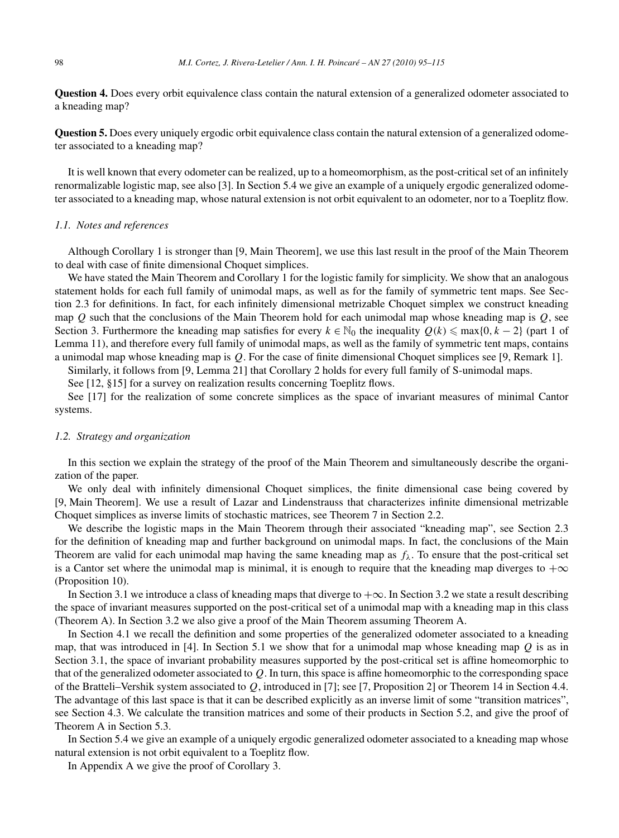**Question 4.** Does every orbit equivalence class contain the natural extension of a generalized odometer associated to a kneading map?

**Question 5.** Does every uniquely ergodic orbit equivalence class contain the natural extension of a generalized odometer associated to a kneading map?

It is well known that every odometer can be realized, up to a homeomorphism, as the post-critical set of an infinitely renormalizable logistic map, see also [3]. In Section 5.4 we give an example of a uniquely ergodic generalized odometer associated to a kneading map, whose natural extension is not orbit equivalent to an odometer, nor to a Toeplitz flow.

# *1.1. Notes and references*

Although Corollary 1 is stronger than [9, Main Theorem], we use this last result in the proof of the Main Theorem to deal with case of finite dimensional Choquet simplices.

We have stated the Main Theorem and Corollary 1 for the logistic family for simplicity. We show that an analogous statement holds for each full family of unimodal maps, as well as for the family of symmetric tent maps. See Section 2.3 for definitions. In fact, for each infinitely dimensional metrizable Choquet simplex we construct kneading map *Q* such that the conclusions of the Main Theorem hold for each unimodal map whose kneading map is *Q*, see Section 3. Furthermore the kneading map satisfies for every  $k \in \mathbb{N}_0$  the inequality  $Q(k) \leq \max\{0, k - 2\}$  (part 1 of Lemma 11), and therefore every full family of unimodal maps, as well as the family of symmetric tent maps, contains a unimodal map whose kneading map is *Q*. For the case of finite dimensional Choquet simplices see [9, Remark 1].

Similarly, it follows from [9, Lemma 21] that Corollary 2 holds for every full family of S-unimodal maps.

See [12, §15] for a survey on realization results concerning Toeplitz flows.

See [17] for the realization of some concrete simplices as the space of invariant measures of minimal Cantor systems.

# *1.2. Strategy and organization*

In this section we explain the strategy of the proof of the Main Theorem and simultaneously describe the organization of the paper.

We only deal with infinitely dimensional Choquet simplices, the finite dimensional case being covered by [9, Main Theorem]. We use a result of Lazar and Lindenstrauss that characterizes infinite dimensional metrizable Choquet simplices as inverse limits of stochastic matrices, see Theorem 7 in Section 2.2.

We describe the logistic maps in the Main Theorem through their associated "kneading map", see Section 2.3 for the definition of kneading map and further background on unimodal maps. In fact, the conclusions of the Main Theorem are valid for each unimodal map having the same kneading map as  $f_\lambda$ . To ensure that the post-critical set is a Cantor set where the unimodal map is minimal, it is enough to require that the kneading map diverges to  $+\infty$ (Proposition 10).

In Section 3.1 we introduce a class of kneading maps that diverge to  $+\infty$ . In Section 3.2 we state a result describing the space of invariant measures supported on the post-critical set of a unimodal map with a kneading map in this class (Theorem A). In Section 3.2 we also give a proof of the Main Theorem assuming Theorem A.

In Section 4.1 we recall the definition and some properties of the generalized odometer associated to a kneading map, that was introduced in [4]. In Section 5.1 we show that for a unimodal map whose kneading map *Q* is as in Section 3.1, the space of invariant probability measures supported by the post-critical set is affine homeomorphic to that of the generalized odometer associated to *Q*. In turn, this space is affine homeomorphic to the corresponding space of the Bratteli–Vershik system associated to *Q*, introduced in [7]; see [7, Proposition 2] or Theorem 14 in Section 4.4. The advantage of this last space is that it can be described explicitly as an inverse limit of some "transition matrices", see Section 4.3. We calculate the transition matrices and some of their products in Section 5.2, and give the proof of Theorem A in Section 5.3.

In Section 5.4 we give an example of a uniquely ergodic generalized odometer associated to a kneading map whose natural extension is not orbit equivalent to a Toeplitz flow.

In Appendix A we give the proof of Corollary 3.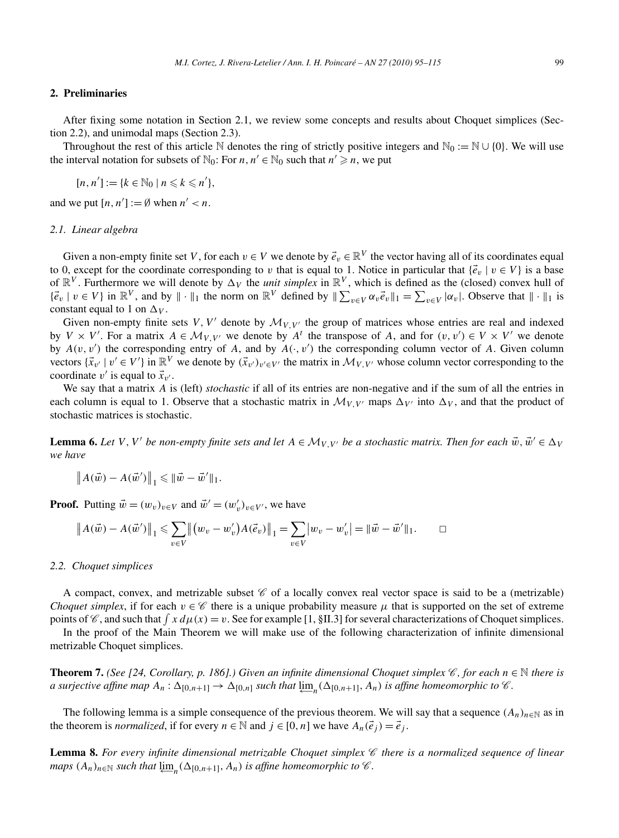#### **2. Preliminaries**

After fixing some notation in Section 2.1, we review some concepts and results about Choquet simplices (Section 2.2), and unimodal maps (Section 2.3).

Throughout the rest of this article N denotes the ring of strictly positive integers and  $\mathbb{N}_0 := \mathbb{N} \cup \{0\}$ . We will use the interval notation for subsets of  $\mathbb{N}_0$ : For *n*, *n'*  $\in$   $\mathbb{N}_0$  such that *n'*  $\geq$  *n*, we put

$$
[n, n'] := \{k \in \mathbb{N}_0 \mid n \leq k \leq n'\},\
$$

and we put  $[n, n'] := \emptyset$  when  $n' < n$ .

#### *2.1. Linear algebra*

Given a non-empty finite set *V*, for each  $v \in V$  we denote by  $\vec{e}_v \in \mathbb{R}^V$  the vector having all of its coordinates equal to 0, except for the coordinate corresponding to *v* that is equal to 1. Notice in particular that  $\{\vec{e}_v \mid v \in V\}$  is a base of  $\mathbb{R}^V$ . Furthermore we will denote by  $\Delta_V$  the *unit simplex* in  $\mathbb{R}^V$ , which is defined as the (closed) convex hull of  $\{\vec{e}_v \mid v \in V\}$  in  $\mathbb{R}^V$ , and by  $\|\cdot\|_1$  the norm on  $\mathbb{R}^V$  defined by  $\|\sum_{v \in V} \alpha_v \vec{e}_v\|_1 = \sum_{v \in V} |\alpha_v|$ . Observe that  $\|\cdot\|_1$  is constant equal to 1 on  $\Delta V$ .

Given non-empty finite sets *V*, *V'* denote by  $\mathcal{M}_{V,V'}$  the group of matrices whose entries are real and indexed by  $V \times V'$ . For a matrix  $A \in \mathcal{M}_{V,V'}$  we denote by  $A^t$  the transpose of A, and for  $(v, v') \in V \times V'$  we denote by  $A(v, v')$  the corresponding entry of A, and by  $A(\cdot, v')$  the corresponding column vector of A. Given column vectors  $\{\vec{x}_{v'} \mid v' \in V'\}$  in  $\mathbb{R}^V$  we denote by  $(\vec{x}_{v'})_{v' \in V'}$  the matrix in  $\mathcal{M}_{V,V'}$  whose column vector corresponding to the coordinate  $v'$  is equal to  $\vec{x}_{v'}$ .

We say that a matrix *A* is (left) *stochastic* if all of its entries are non-negative and if the sum of all the entries in each column is equal to 1. Observe that a stochastic matrix in  $\mathcal{M}_{V,V'}$  maps  $\Delta_{V'}$  into  $\Delta_V$ , and that the product of stochastic matrices is stochastic.

**Lemma 6.** Let V, V' be non-empty finite sets and let  $A \in \mathcal{M}_{V,V'}$  be a stochastic matrix. Then for each  $\vec{w}, \vec{w}' \in \Delta_V$ *we have*

$$
\left\|A(\vec{w})-A(\vec{w}')\right\|_1 \leqslant \|\vec{w}-\vec{w}'\|_1.
$$

**Proof.** Putting  $\vec{w} = (w_v)_{v \in V}$  and  $\vec{w}' = (w'_v)_{v \in V'}$ , we have

$$
\|A(\vec{w}) - A(\vec{w}')\|_1 \leq \sum_{v \in V} \|(w_v - w'_v)A(\vec{e}_v)\|_1 = \sum_{v \in V} |w_v - w'_v| = \|\vec{w} - \vec{w}'\|_1.
$$

#### *2.2. Choquet simplices*

A compact, convex, and metrizable subset  $\mathscr C$  of a locally convex real vector space is said to be a (metrizable) *Choquet simplex*, if for each  $v \in \mathscr{C}$  there is a unique probability measure  $\mu$  that is supported on the set of extreme points of  $\mathscr{C}$ , and such that  $\int x d\mu(x) = v$ . See for example [1, §II.3] for several characterizations of Choquet simplices.

In the proof of the Main Theorem we will make use of the following characterization of infinite dimensional metrizable Choquet simplices.

**Theorem 7.** *(See [24, Corollary, p. 186].) Given an infinite dimensional Choquet simplex*  $\mathscr{C}$ *, for each*  $n \in \mathbb{N}$  *there is* a surjective affine map  $A_n: \Delta_{[0,n+1]} \to \Delta_{[0,n]}$  such that  $\varprojlim_n(\Delta_{[0,n+1]},A_n)$  is affine homeomorphic to  $\mathscr C$ .

The following lemma is a simple consequence of the previous theorem. We will say that a sequence  $(A_n)_{n\in\mathbb{N}}$  as in the theorem is *normalized*, if for every  $n \in \mathbb{N}$  and  $j \in [0, n]$  we have  $A_n(\vec{e}_j) = \vec{e}_j$ .

**Lemma 8.** *For every infinite dimensional metrizable Choquet simplex* C *there is a normalized sequence of linear*  $maps (A_n)_{n \in \mathbb{N}}$  *such that*  $\varprojlim_n (\Delta_{[0,n+1]},A_n)$  *is affine homeomorphic to*  $\mathscr{C}$ *.*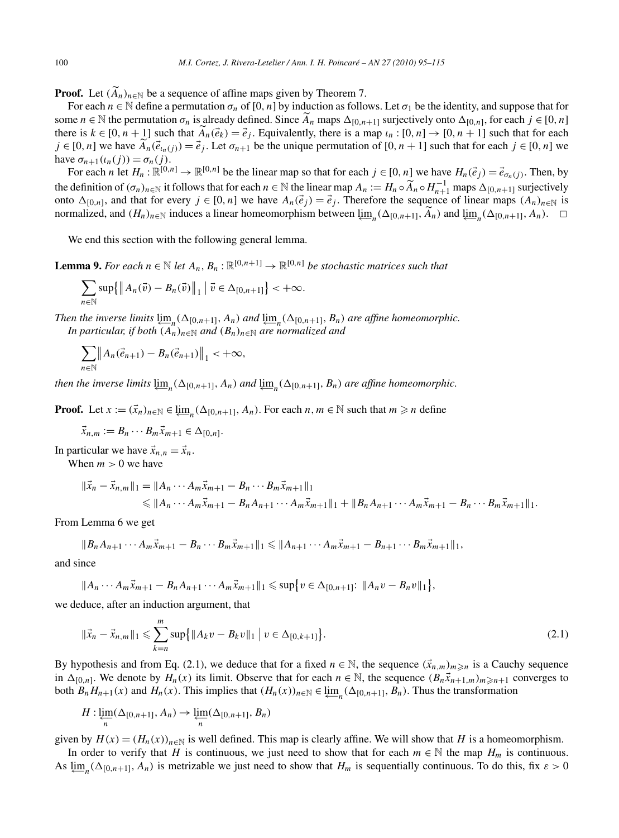**Proof.** Let  $(A_n)_{n \in \mathbb{N}}$  be a sequence of affine maps given by Theorem 7.

For each  $n \in \mathbb{N}$  define a permutation  $\sigma_n$  of [0, n] by induction as follows. Let  $\sigma_1$  be the identity, and suppose that for some  $n \in \mathbb{N}$  the permutation  $\sigma_n$  is already defined. Since  $A_n$  maps  $\Delta_{[0,n+1]}$  surjectively onto  $\Delta_{[0,n]}$ , for each  $j \in [0,n]$ there is  $k \in [0, n + 1]$  such that  $\overrightarrow{A}_n(\vec{e}_k) = \vec{e}_j$ . Equivalently, there is a map  $\iota_n : [0, n] \to [0, n + 1]$  such that for each  $j \in [0, n]$  we have  $A_n(\vec{e}_{t_n}(j)) = \vec{e}_j$ . Let  $\sigma_{n+1}$  be the unique permutation of  $[0, n+1]$  such that for each  $j \in [0, n]$  we have  $\sigma_{n+1}(\iota_n(j)) = \sigma_n(j)$ .

For each *n* let  $H_n : \mathbb{R}^{[0,n]} \to \mathbb{R}^{[0,n]}$  be the linear map so that for each  $j \in [0,n]$  we have  $H_n(\vec{e}_j) = \vec{e}_{\sigma_n(j)}$ . Then, by the definition of  $(\sigma_n)_{n \in \mathbb{N}}$  it follows that for each  $n \in \mathbb{N}$  the linear map  $A_n := H_n \circ \widetilde{A}_n \circ H_{n+1}^{-1}$  maps  $\Delta_{[0,n+1]}$  surjectively onto  $\Delta_{[0,n]}$ , and that for every *j* ∈ [0, *n*] we have  $A_n(\vec{e}_j) = \vec{e}_j$ . Therefore the sequence of linear maps  $(A_n)_{n \in \mathbb{N}}$  is normalized, and  $(H_n)_{n \in \mathbb{N}}$  induces a linear homeomorphism between  $\varprojlim_n(\Delta_{[0,n+1]}, A_n)$  and  $\varprojlim_n(\Delta_{[0,n+1]}, A_n)$ . □

We end this section with the following general lemma.

**Lemma 9.** For each  $n \in \mathbb{N}$  let  $A_n, B_n : \mathbb{R}^{[0,n+1]} \to \mathbb{R}^{[0,n]}$  be stochastic matrices such that

$$
\sum_{n\in\mathbb{N}}\sup\{\left\|A_n(\vec{v})-B_n(\vec{v})\right\|_1\big|\vec{v}\in\Delta_{[0,n+1]}\}<+\infty.
$$

*Then the inverse limits*  $\lim_{n \to \infty} (\Delta_{[0,n+1]}, A_n)$  *and*  $\lim_{n \to \infty} (\Delta_{[0,n+1]}, B_n)$  *are affine homeomorphic. In particular, if both*  $(A_n)_{n \in \mathbb{N}}$  *and*  $(B_n)_{n \in \mathbb{N}}$  *are normalized and* 

$$
\sum_{n\in\mathbb{N}}\left\|A_n(\vec{e}_{n+1})-B_n(\vec{e}_{n+1})\right\|_1<+\infty,
$$

*then the inverse limits*  $\varprojlim_n(\Delta_{[0,n+1]},A_n)$  *and*  $\varprojlim_n(\Delta_{[0,n+1]},B_n)$  *are affine homeomorphic.* 

**Proof.** Let  $x := (\vec{x}_n)_{n \in \mathbb{N}} \in \varprojlim_n (\Delta_{[0,n+1]}, A_n)$ . For each  $n, m \in \mathbb{N}$  such that  $m \geq n$  define

$$
\vec{x}_{n,m} := B_n \cdots B_m \vec{x}_{m+1} \in \Delta_{[0,n]}.
$$

In particular we have  $\vec{x}_{n,n} = \vec{x}_n$ .

When  $m > 0$  we have

$$
\begin{aligned} \|\vec{x}_n - \vec{x}_{n,m}\|_1 &= \|A_n \cdots A_m \vec{x}_{m+1} - B_n \cdots B_m \vec{x}_{m+1}\|_1 \\ &\le \|A_n \cdots A_m \vec{x}_{m+1} - B_n A_{n+1} \cdots A_m \vec{x}_{m+1}\|_1 + \|B_n A_{n+1} \cdots A_m \vec{x}_{m+1} - B_n \cdots B_m \vec{x}_{m+1}\|_1. \end{aligned}
$$

From Lemma 6 we get

$$
||B_nA_{n+1}\cdots A_m\vec{x}_{m+1}-B_n\cdots B_m\vec{x}_{m+1}||_1\leq ||A_{n+1}\cdots A_m\vec{x}_{m+1}-B_{n+1}\cdots B_m\vec{x}_{m+1}||_1,
$$

and since

$$
||A_n\cdots A_m\vec{x}_{m+1}-B_nA_{n+1}\cdots A_m\vec{x}_{m+1}||_1\leqslant \sup\{v\in \Delta_{[0,n+1]}\colon ||A_nv-B_nv||_1\},\
$$

we deduce, after an induction argument, that

$$
\|\vec{x}_n - \vec{x}_{n,m}\|_1 \leq \sum_{k=n}^m \sup \{ \|A_k v - B_k v\|_1 \mid v \in \Delta_{[0,k+1]} \}.
$$
\n(2.1)

By hypothesis and from Eq. (2.1), we deduce that for a fixed  $n \in \mathbb{N}$ , the sequence  $(\vec{x}_{n,m})_{m \geq n}$  is a Cauchy sequence in  $\Delta_{[0,n]}$ . We denote by  $H_n(x)$  its limit. Observe that for each  $n \in \mathbb{N}$ , the sequence  $(B_n \vec{x}_{n+1,m})_{m \geq n+1}$  converges to both  $B_n H_{n+1}(x)$  and  $H_n(x)$ . This implies that  $(H_n(x))_{n \in \mathbb{N}} \in \varprojlim_n (\Delta_{[0,n+1]}, B_n)$ . Thus the transformation

$$
H: \varprojlim_n (\Delta_{[0,n+1]}, A_n) \to \varprojlim_n (\Delta_{[0,n+1]}, B_n)
$$

given by  $H(x) = (H_n(x))_{n \in \mathbb{N}}$  is well defined. This map is clearly affine. We will show that *H* is a homeomorphism.

In order to verify that *H* is continuous, we just need to show that for each  $m \in \mathbb{N}$  the map  $H_m$  is continuous. As  $\varprojlim_n(\Delta_{[0,n+1]},A_n)$  is metrizable we just need to show that  $H_m$  is sequentially continuous. To do this, fix  $\varepsilon > 0$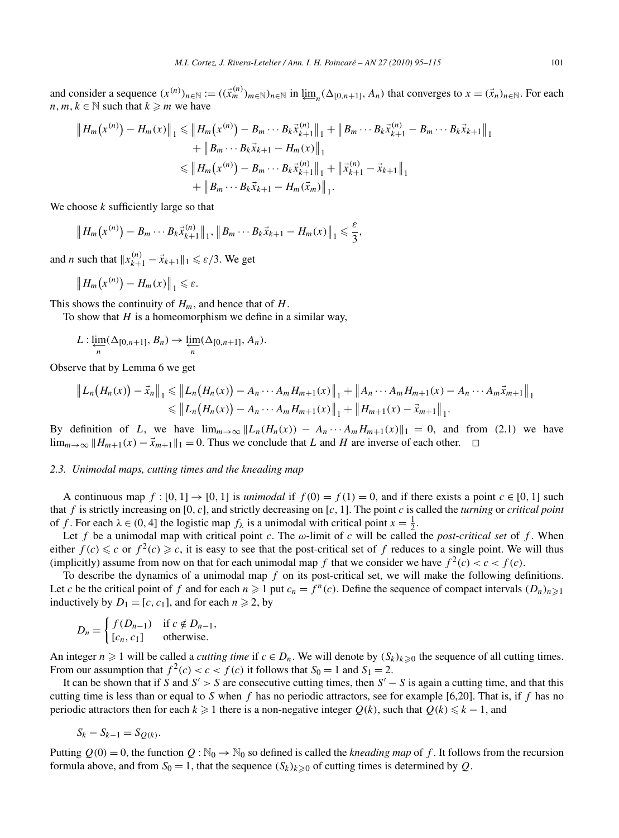and consider a sequence  $(x^{(n)})_{n \in \mathbb{N}} := ((\vec{x}_m^{(n)})_{m \in \mathbb{N}})_{n \in \mathbb{N}}$  in  $\varprojlim_n(\Delta_{[0,n+1]}, A_n)$  that converges to  $x = (\vec{x}_n)_{n \in \mathbb{N}}$ . For each *n, m, k* ∈  $\mathbb N$  such that *k*  $\geq m$  we have

$$
\|H_m(x^{(n)}) - H_m(x)\|_1 \le \|H_m(x^{(n)}) - B_m \cdots B_k \vec{x}_{k+1}^{(n)}\|_1 + \|B_m \cdots B_k \vec{x}_{k+1}^{(n)} - B_m \cdots B_k \vec{x}_{k+1}\|_1
$$
  
+  $||B_m \cdots B_k \vec{x}_{k+1} - H_m(x)||_1$   
 $\le \|H_m(x^{(n)}) - B_m \cdots B_k \vec{x}_{k+1}^{(n)}\|_1 + \|\vec{x}_{k+1}^{(n)} - \vec{x}_{k+1}\|_1$   
+  $||B_m \cdots B_k \vec{x}_{k+1} - H_m(\vec{x}_m)||_1$ .

We choose *k* sufficiently large so that

$$
\|H_m(x^{(n)})-B_m\cdots B_k\vec{x}_{k+1}^{(n)}\|_1, \|B_m\cdots B_k\vec{x}_{k+1}-H_m(x)\|_1\leq \frac{\varepsilon}{3},
$$

and *n* such that  $||x_{k+1}^{(n)} - \vec{x}_{k+1}||_1 \le \varepsilon/3$ . We get

$$
||H_m(x^{(n)}) - H_m(x)||_1 \leq \varepsilon.
$$

This shows the continuity of *Hm*, and hence that of *H*.

To show that *H* is a homeomorphism we define in a similar way,

$$
L: \varprojlim_n(\Delta_{[0,n+1]}, B_n) \to \varprojlim_n(\Delta_{[0,n+1]}, A_n).
$$

Observe that by Lemma 6 we get

$$
\|L_n(H_n(x)) - \vec{x}_n\|_1 \le \|L_n(H_n(x)) - A_n \cdots A_m H_{m+1}(x)\|_1 + \|A_n \cdots A_m H_{m+1}(x) - A_n \cdots A_m \vec{x}_{m+1}\|_1
$$
  

$$
\le \|L_n(H_n(x)) - A_n \cdots A_m H_{m+1}(x)\|_1 + \|H_{m+1}(x) - \vec{x}_{m+1}\|_1.
$$

By definition of *L*, we have  $\lim_{m\to\infty} ||L_n(H_n(x)) - A_n \cdots A_m H_{m+1}(x)||_1 = 0$ , and from (2.1) we have  $\lim_{m\to\infty}$   $||H_{m+1}(x) - \vec{x}_{m+1}||_1 = 0$ . Thus we conclude that *L* and *H* are inverse of each other.  $\Box$ 

# *2.3. Unimodal maps, cutting times and the kneading map*

A continuous map  $f : [0, 1] \rightarrow [0, 1]$  is *unimodal* if  $f(0) = f(1) = 0$ , and if there exists a point  $c \in [0, 1]$  such that *f* is strictly increasing on [0*,c*], and strictly decreasing on [*c,* 1]. The point *c* is called the *turning* or *critical point* of *f*. For each  $\lambda \in (0, 4]$  the logistic map  $f_{\lambda}$  is a unimodal with critical point  $x = \frac{1}{2}$ .

Let *f* be a unimodal map with critical point *c*. The *ω*-limit of *c* will be called the *post-critical set* of *f* . When either  $f(c) \leq c$  or  $f^2(c) \geq c$ , it is easy to see that the post-critical set of f reduces to a single point. We will thus (implicitly) assume from now on that for each unimodal map f that we consider we have  $f^2(c) < c < f(c)$ .

To describe the dynamics of a unimodal map *f* on its post-critical set, we will make the following definitions. Let *c* be the critical point of *f* and for each  $n \ge 1$  put  $c_n = f^n(c)$ . Define the sequence of compact intervals  $(D_n)_{n \ge 1}$ inductively by  $D_1 = [c, c_1]$ , and for each  $n \ge 2$ , by

$$
D_n = \begin{cases} f(D_{n-1}) & \text{if } c \notin D_{n-1}, \\ [c_n, c_1] & \text{otherwise.} \end{cases}
$$

An integer  $n \ge 1$  will be called a *cutting time* if  $c \in D_n$ . We will denote by  $(S_k)_{k \ge 0}$  the sequence of all cutting times. From our assumption that  $f^2(c) < c < f(c)$  it follows that  $S_0 = 1$  and  $S_1 = 2$ .

It can be shown that if *S* and  $S' > S$  are consecutive cutting times, then  $S' - S$  is again a cutting time, and that this cutting time is less than or equal to *S* when *f* has no periodic attractors, see for example [6,20]. That is, if *f* has no periodic attractors then for each  $k \geq 1$  there is a non-negative integer  $Q(k)$ , such that  $Q(k) \leq k - 1$ , and

$$
S_k - S_{k-1} = S_{Q(k)}.
$$

Putting  $Q(0) = 0$ , the function  $Q : \mathbb{N}_0 \to \mathbb{N}_0$  so defined is called the *kneading map* of f. It follows from the recursion formula above, and from  $S_0 = 1$ , that the sequence  $(S_k)_{k \geq 0}$  of cutting times is determined by *Q*.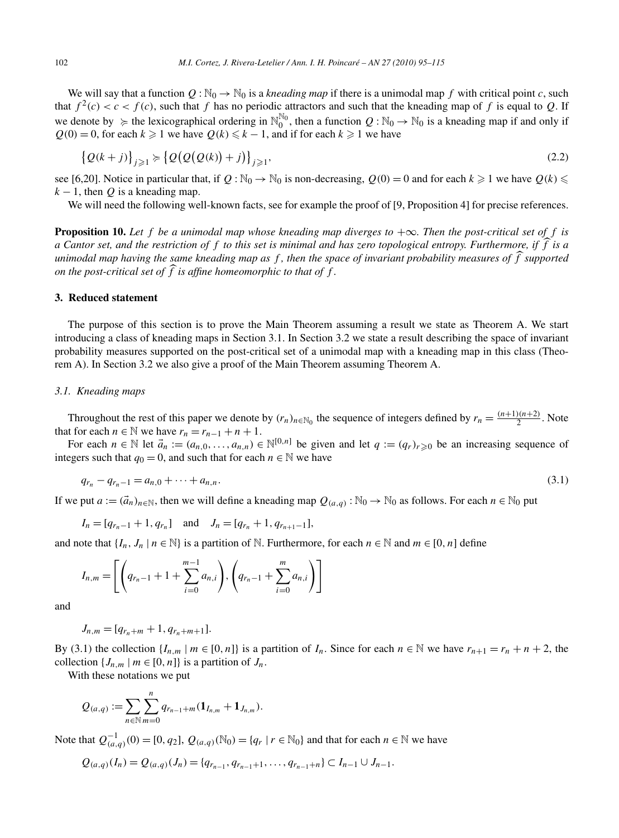We will say that a function  $Q : \mathbb{N}_0 \to \mathbb{N}_0$  is a *kneading map* if there is a unimodal map f with critical point c, such that  $f^2(c) < c < f(c)$ , such that f has no periodic attractors and such that the kneading map of f is equal to Q. If we denote by  $\geq$  the lexicographical ordering in  $\mathbb{N}_0^{\mathbb{N}_0}$ , then a function  $Q : \mathbb{N}_0 \to \mathbb{N}_0$  is a kneading map if and only if  $Q(0) = 0$ , for each  $k \ge 1$  we have  $Q(k) \le k - 1$ , and if for each  $k \ge 1$  we have

$$
\left\{Q(k+j)\right\}_{j\geqslant 1} \succcurlyeq \left\{Q\big(Q\big(Q(k)\big)+j\big)\right\}_{j\geqslant 1},\tag{2.2}
$$

see [6,20]. Notice in particular that, if  $Q : \mathbb{N}_0 \to \mathbb{N}_0$  is non-decreasing,  $Q(0) = 0$  and for each  $k \geq 1$  we have  $Q(k) \leq$  $k - 1$ , then *Q* is a kneading map.

We will need the following well-known facts, see for example the proof of [9, Proposition 4] for precise references.

**Proposition 10.** Let  $f$  be a unimodal map whose kneading map diverges to  $+\infty$ . Then the post-critical set of  $f$  is *a Cantor set, and the restriction of f to this set is minimal and has zero topological entropy. Furthermore, if f is a unimodal map having the same kneading map as f , then the space of invariant probability measures of f supported on the post-critical set of f is affine homeomorphic to that of f .*

#### **3. Reduced statement**

The purpose of this section is to prove the Main Theorem assuming a result we state as Theorem A. We start introducing a class of kneading maps in Section 3.1. In Section 3.2 we state a result describing the space of invariant probability measures supported on the post-critical set of a unimodal map with a kneading map in this class (Theorem A). In Section 3.2 we also give a proof of the Main Theorem assuming Theorem A.

# *3.1. Kneading maps*

Throughout the rest of this paper we denote by  $(r_n)_{n \in \mathbb{N}_0}$  the sequence of integers defined by  $r_n = \frac{(n+1)(n+2)}{2}$ . Note that for each  $n \in \mathbb{N}$  we have  $r_n = r_{n-1} + n + 1$ .

For each  $n \in \mathbb{N}$  let  $\vec{a}_n := (a_{n,0}, \ldots, a_{n,n}) \in \mathbb{N}^{[0,n]}$  be given and let  $q := (q_r)_{r \geq 0}$  be an increasing sequence of integers such that  $q_0 = 0$ , and such that for each  $n \in \mathbb{N}$  we have

$$
q_{r_n} - q_{r_n - 1} = a_{n,0} + \dots + a_{n,n}.\tag{3.1}
$$

If we put  $a := (\vec{a}_n)_{n \in \mathbb{N}}$ , then we will define a kneading map  $Q_{(a,q)} : \mathbb{N}_0 \to \mathbb{N}_0$  as follows. For each  $n \in \mathbb{N}_0$  put

$$
I_n = [q_{r_n-1} + 1, q_{r_n}]
$$
 and  $J_n = [q_{r_n} + 1, q_{r_{n+1}-1}],$ 

and note that  $\{I_n, J_n \mid n \in \mathbb{N}\}$  is a partition of N. Furthermore, for each  $n \in \mathbb{N}$  and  $m \in [0, n]$  define

$$
I_{n,m} = \left[ \left( q_{r_n-1} + 1 + \sum_{i=0}^{m-1} a_{n,i} \right), \left( q_{r_n-1} + \sum_{i=0}^{m} a_{n,i} \right) \right]
$$

and

$$
J_{n,m} = [q_{r_n+m} + 1, q_{r_n+m+1}].
$$

By (3.1) the collection  $\{I_{n,m} | m \in [0,n]\}$  is a partition of  $I_n$ . Since for each  $n \in \mathbb{N}$  we have  $r_{n+1} = r_n + n + 2$ , the collection  $\{J_{n,m} | m \in [0,n]\}$  is a partition of  $J_n$ .

With these notations we put

$$
Q_{(a,q)} := \sum_{n \in \mathbb{N}} \sum_{m=0}^{n} q_{r_{n-1}+m} (\mathbf{1}_{I_{n,m}} + \mathbf{1}_{J_{n,m}}).
$$

Note that  $Q_{(a,q)}^{-1}(0) = [0, q_2], Q_{(a,q)}(\mathbb{N}_0) = \{q_r \mid r \in \mathbb{N}_0\}$  and that for each *n* ∈  $\mathbb N$  we have

$$
Q_{(a,q)}(I_n) = Q_{(a,q)}(J_n) = \{q_{r_{n-1}}, q_{r_{n-1}+1}, \ldots, q_{r_{n-1}+n}\} \subset I_{n-1} \cup J_{n-1}.
$$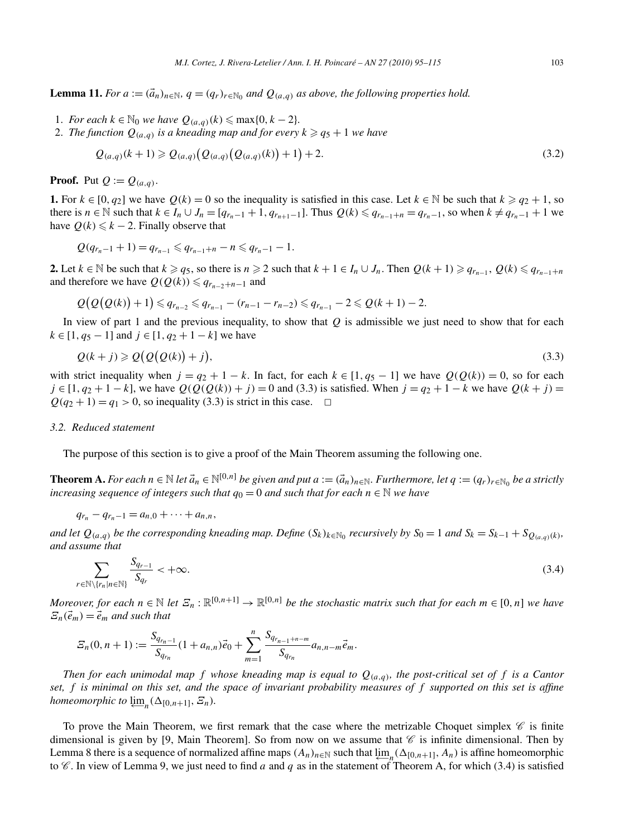**Lemma 11.** *For*  $a := (\vec{a}_n)_{n \in \mathbb{N}}, q = (q_r)_{r \in \mathbb{N}_0}$  *and*  $Q_{(a,q)}$  *as above, the following properties hold.* 

1. *For each*  $k \in \mathbb{N}_0$  *we have*  $Q_{(a,q)}(k) \leq \max\{0, k-2\}$ .

2. *The function*  $Q_{(a,a)}$  *is a kneading map and for every*  $k \geq q_5 + 1$  *we have* 

$$
Q_{(a,q)}(k+1) \geq Q_{(a,q)}\big(Q_{(a,q)}\big(Q_{(a,q)}(k)\big)+1\big)+2.\tag{3.2}
$$

**Proof.** Put  $Q := Q_{(a,q)}$ .

**1.** For *k* ∈ [0, *q*<sub>2</sub>] we have *Q*(*k*) = 0 so the inequality is satisfied in this case. Let *k* ∈ N be such that  $k ≥ q_2 + 1$ , so there is *n* ∈ N such that  $k \in I_n \cup J_n = [q_{r_n-1} + 1, q_{r_{n+1}-1}]$ . Thus  $Q(k) \leq q_{r_{n-1}+n} = q_{r_n-1}$ , so when  $k \neq q_{r_n-1} + 1$  we have  $Q(k) \leq k - 2$ . Finally observe that

$$
Q(q_{r_n-1}+1)=q_{r_{n-1}}\leqslant q_{r_{n-1}+n}-n\leqslant q_{r_n-1}-1.
$$

**2.** Let *k* ∈ N be such that *k*  $\geq q_5$ , so there is *n*  $\geq$  2 such that *k* + 1 ∈ *I<sub>n</sub>* ∪ *J<sub>n</sub>*. Then  $Q(k + 1) \geq q_{r_{n-1}}$ ,  $Q(k) \leq q_{r_{n-1}+n}$ and therefore we have  $Q(Q(k)) \leq q_{r_{n-2}+n-1}$  and

$$
Q(Q(Q(k))+1) \leq q_{r_{n-2}} \leq q_{r_{n-1}}-(r_{n-1}-r_{n-2}) \leq q_{r_{n-1}}-2 \leq Q(k+1)-2.
$$

In view of part 1 and the previous inequality, to show that *Q* is admissible we just need to show that for each  $k \in [1, q_5 - 1]$  and  $j \in [1, q_2 + 1 - k]$  we have

$$
Q(k+j) \geqslant Q(Q(Q(k)) + j),\tag{3.3}
$$

with strict inequality when  $j = q_2 + 1 - k$ . In fact, for each  $k \in [1, q_5 - 1]$  we have  $Q(Q(k)) = 0$ , so for each *j* ∈ [1, *q*<sub>2</sub> + 1 − *k*], we have  $Q(Q(Q(k)) + j) = 0$  and (3.3) is satisfied. When  $j = q_2 + 1 - k$  we have  $Q(k + j) = 0$  $Q(q_2 + 1) = q_1 > 0$ , so inequality (3.3) is strict in this case.  $\Box$ 

#### *3.2. Reduced statement*

The purpose of this section is to give a proof of the Main Theorem assuming the following one.

**Theorem A.** *For each*  $n \in \mathbb{N}$  *let*  $\vec{a}_n \in \mathbb{N}^{[0,n]}$  *be given and put*  $a := (\vec{a}_n)_{n \in \mathbb{N}}$ *. Furthermore, let*  $q := (q_r)_{r \in \mathbb{N}_0}$  *be a strictly increasing sequence of integers such that*  $q_0 = 0$  *and such that for each*  $n \in \mathbb{N}$  *we have* 

$$
q_{r_n} - q_{r_n-1} = a_{n,0} + \cdots + a_{n,n},
$$

*and let*  $Q_{(a,q)}$  *be the corresponding kneading map. Define*  $(S_k)_{k \in \mathbb{N}_0}$  *recursively by*  $S_0 = 1$  *and*  $S_k = S_{k-1} + S_{Q_{(a,q)}(k)}$ *, and assume that*

$$
\sum_{r \in \mathbb{N} \setminus \{r_n | n \in \mathbb{N}\}} \frac{S_{q_{r-1}}}{S_{q_r}} < +\infty. \tag{3.4}
$$

*Moreover, for each*  $n \in \mathbb{N}$  *let*  $\mathcal{Z}_n : \mathbb{R}^{[0,n+1]} \to \mathbb{R}^{[0,n]}$  *be the stochastic matrix such that for each*  $m \in [0,n]$  *we have*  $\mathcal{Z}_n(\vec{e}_m) = \vec{e}_m$  *and such that* 

$$
S_n(0, n+1) := \frac{S_{q_{r_n-1}}}{S_{q_{r_n}}} (1 + a_{n,n}) \vec{e}_0 + \sum_{m=1}^n \frac{S_{q_{r_{n-1}+n-m}}}{S_{q_{r_n}}} a_{n,n-m} \vec{e}_m.
$$

*Then for each unimodal map f* whose kneading map is equal to  $Q_{(a,q)}$ , the post-critical set of f is a Cantor *set, f is minimal on this set, and the space of invariant probability measures of f supported on this set is affine homeomorphic to*  $\varprojlim_n (\Delta_{[0,n+1]}, \varXi_n)$ *.* 

To prove the Main Theorem, we first remark that the case where the metrizable Choquet simplex  $\mathscr C$  is finite dimensional is given by [9, Main Theorem]. So from now on we assume that  $\mathscr C$  is infinite dimensional. Then by Lemma 8 there is a sequence of normalized affine maps  $(A_n)_{n \in \mathbb{N}}$  such that  $\lim_{n \to \infty} (Δ_{[0,n+1]}, A_n)$  is affine homeomorphic to  $\mathscr C$ . In view of Lemma 9, we just need to find *a* and *q* as in the statement of Theorem A, for which (3.4) is satisfied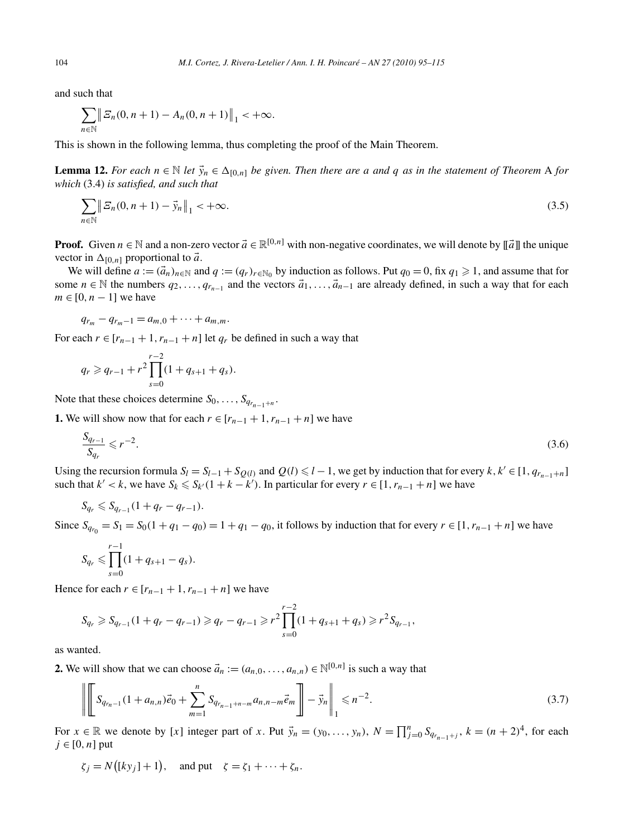and such that

$$
\sum_{n \in \mathbb{N}} \| \mathcal{Z}_n(0, n+1) - A_n(0, n+1) \|_1 < +\infty.
$$

This is shown in the following lemma, thus completing the proof of the Main Theorem.

**Lemma 12.** *For each*  $n \in \mathbb{N}$  *let*  $\vec{y}_n \in \Delta_{[0,n]}$  *be given. Then there are a and q as in the statement of Theorem* A *for which* (3.4) *is satisfied, and such that*

$$
\sum_{n \in \mathbb{N}} \| \Xi_n(0, n+1) - \vec{y}_n \|_1 < +\infty.
$$
\n(3.5)

**Proof.** Given  $n \in \mathbb{N}$  and a non-zero vector  $\vec{a} \in \mathbb{R}^{[0,n]}$  with non-negative coordinates, we will denote by  $\|\vec{a}\|$  the unique vector in  $\Delta_{[0,n]}$  proportional to  $\vec{a}$ .

We will define  $a := (\vec{a}_n)_{n \in \mathbb{N}}$  and  $q := (q_r)_{r \in \mathbb{N}_0}$  by induction as follows. Put  $q_0 = 0$ , fix  $q_1 \ge 1$ , and assume that for some *n* ∈ N the numbers  $q_2, ..., q_{r_{n-1}}$  and the vectors  $\vec{a}_1, ..., \vec{a}_{n-1}$  are already defined, in such a way that for each  $m \in [0, n-1]$  we have

$$
q_{r_m}-q_{r_m-1}=a_{m,0}+\cdots+a_{m,m}.
$$

For each  $r \in [r_{n-1} + 1, r_{n-1} + n]$  let  $q_r$  be defined in such a way that

$$
q_r \geqslant q_{r-1} + r^2 \prod_{s=0}^{r-2} (1 + q_{s+1} + q_s).
$$

Note that these choices determine  $S_0$ , ...,  $S_{q_{r_{n-1}+n}}$ .

**1.** We will show now that for each *r* ∈  $[r_{n-1} + 1, r_{n-1} + n]$  we have

$$
\frac{S_{q_{r-1}}}{S_{q_r}} \leqslant r^{-2}.\tag{3.6}
$$

Using the recursion formula  $S_l = S_{l-1} + S_{Q(l)}$  and  $Q(l) \le l-1$ , we get by induction that for every  $k, k' \in [1, q_{r_{n-1}+n}]$ such that  $k' < k$ , we have  $S_k \le S_{k'}(1 + k - k')$ . In particular for every  $r \in [1, r_{n-1} + n]$  we have

$$
S_{q_r} \leq S_{q_{r-1}}(1+q_r-q_{r-1}).
$$

Since  $S_{q_n} = S_1 = S_0(1 + q_1 - q_0) = 1 + q_1 - q_0$ , it follows by induction that for every  $r \in [1, r_{n-1} + n]$  we have

$$
S_{q_r} \leq \prod_{s=0}^{r-1} (1 + q_{s+1} - q_s).
$$

Hence for each  $r \in [r_{n-1} + 1, r_{n-1} + n]$  we have

$$
S_{q_r} \geq S_{q_{r-1}}(1+q_r-q_{r-1}) \geqslant q_r-q_{r-1} \geqslant r^2 \prod_{s=0}^{r-2} (1+q_{s+1}+q_s) \geqslant r^2 S_{q_{r-1}},
$$

as wanted.

**2.** We will show that we can choose  $\vec{a}_n := (a_{n,0}, \ldots, a_{n,n}) \in \mathbb{N}^{[0,n]}$  is such a way that

$$
\left\| \left[ S_{q_{r_{n-1}}}(1 + a_{n,n}) \vec{e}_0 + \sum_{m=1}^n S_{q_{r_{n-1}+n-m}} a_{n,n-m} \vec{e}_m \right] - \vec{y}_n \right\|_1 \leq n^{-2}.
$$
\n(3.7)

For  $x \in \mathbb{R}$  we denote by [*x*] integer part of *x*. Put  $\vec{y}_n = (y_0, \ldots, y_n)$ ,  $N = \prod_{j=0}^n S_{q_{r_{n-1}+j}}$ ,  $k = (n+2)^4$ , for each  $j \in [0, n]$  put

$$
\zeta_j = N\big([ky_j]+1\big), \text{ and put } \zeta = \zeta_1 + \cdots + \zeta_n.
$$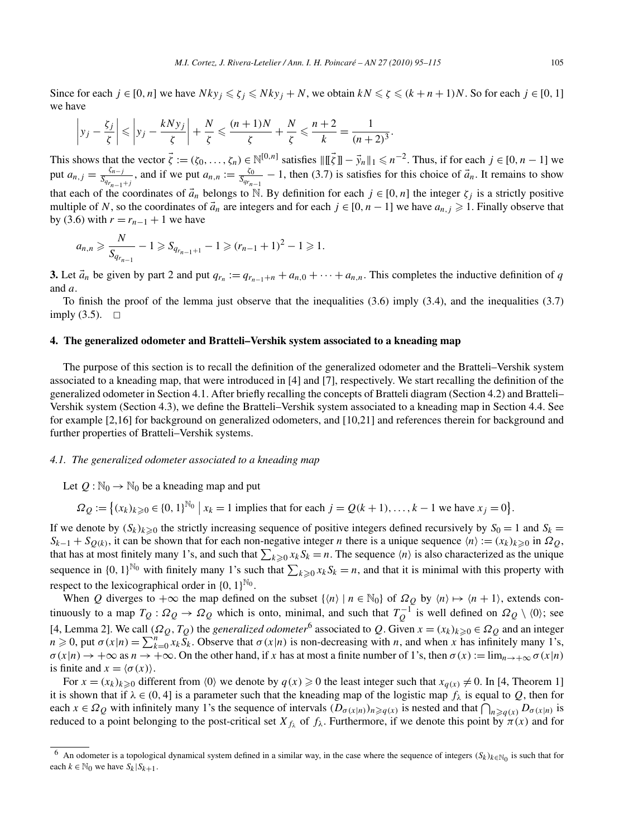Since for each  $j \in [0, n]$  we have  $Nky_j \le \zeta_j \le Nky_j + N$ , we obtain  $kN \le \zeta \le (k+n+1)N$ . So for each  $j \in [0, 1]$ we have

$$
\left|y_j - \frac{\zeta_j}{\zeta}\right| \leqslant \left|y_j - \frac{kNy_j}{\zeta}\right| + \frac{N}{\zeta} \leqslant \frac{(n+1)N}{\zeta} + \frac{N}{\zeta} \leqslant \frac{n+2}{k} = \frac{1}{(n+2)^3}.
$$

This shows that the vector  $\vec{\zeta} := (\zeta_0, \dots, \zeta_n) \in \mathbb{N}^{[0,n]}$  satisfies  $\|\vec{\zeta}\| - \vec{y}_n\|_1 \leq n^{-2}$ . Thus, if for each  $j \in [0, n-1]$  we put  $a_{n,j} = \frac{\zeta_{n-j}}{\zeta_{q_{r_{n-1}+j}}}$ , and if we put  $a_{n,n} := \frac{\zeta_0}{\zeta_{q_{r_{n-1}}} - 1}$ , then (3.7) is satisfies for this choice of  $\vec{a}_n$ . It remains to show that each of the coordinates of  $\vec{a}_n$  belongs to N. By definition for each  $j \in [0, n]$  the integer  $\zeta_j$  is a strictly positive multiple of *N*, so the coordinates of  $\vec{a}_n$  are integers and for each  $j \in [0, n-1]$  we have  $a_{n,j} \ge 1$ . Finally observe that by (3.6) with  $r = r_{n-1} + 1$  we have

$$
a_{n,n} \geqslant \frac{N}{S_{q_{r_{n-1}}}} - 1 \geqslant S_{q_{r_{n-1}+1}} - 1 \geqslant (r_{n-1}+1)^2 - 1 \geqslant 1.
$$

**3.** Let  $\vec{a}_n$  be given by part 2 and put  $q_{r_n} := q_{r_{n-1}+n} + a_{n,0} + \cdots + a_{n,n}$ . This completes the inductive definition of *q* and *a*.

To finish the proof of the lemma just observe that the inequalities (3.6) imply (3.4), and the inequalities (3.7) imply  $(3.5)$ .  $\Box$ 

# **4. The generalized odometer and Bratteli–Vershik system associated to a kneading map**

The purpose of this section is to recall the definition of the generalized odometer and the Bratteli–Vershik system associated to a kneading map, that were introduced in [4] and [7], respectively. We start recalling the definition of the generalized odometer in Section 4.1. After briefly recalling the concepts of Bratteli diagram (Section 4.2) and Bratteli– Vershik system (Section 4.3), we define the Bratteli–Vershik system associated to a kneading map in Section 4.4. See for example [2,16] for background on generalized odometers, and [10,21] and references therein for background and further properties of Bratteli–Vershik systems.

# *4.1. The generalized odometer associated to a kneading map*

Let  $Q : \mathbb{N}_0 \to \mathbb{N}_0$  be a kneading map and put

 $\Omega_Q := \{(x_k)_{k \geq 0} \in \{0, 1\}^{\mathbb{N}_0} \mid x_k = 1 \text{ implies that for each } j = Q(k+1), \dots, k-1 \text{ we have } x_j = 0\}.$ 

If we denote by  $(S_k)_{k\geqslant 0}$  the strictly increasing sequence of positive integers defined recursively by  $S_0 = 1$  and  $S_k =$  $S_{k-1} + S_{Q(k)}$ , it can be shown that for each non-negative integer *n* there is a unique sequence  $\langle n \rangle := (x_k)_{k \geq 0}$  in  $\Omega_Q$ , that has at most finitely many 1's, and such that  $\sum_{k\geqslant 0} x_k S_k = n$ . The sequence  $\langle n \rangle$  is also characterized as the unique sequence in  $\{0, 1\}^{\mathbb{N}_0}$  with finitely many 1's such that  $\sum_{k \geq 0} x_k S_k = n$ , and that it is minimal with this property with respect to the lexicographical order in  $\{0, 1\}^{\mathbb{N}_0}$ .

When *Q* diverges to  $+\infty$  the map defined on the subset  $\{\langle n \rangle \mid n \in \mathbb{N}_0\}$  of  $\Omega_Q$  by  $\langle n \rangle \mapsto \langle n+1 \rangle$ , extends continuously to a map  $T_Q: \Omega_Q \to \Omega_Q$  which is onto, minimal, and such that  $T_Q^{-1}$  is well defined on  $\Omega_Q \setminus \{0\}$ ; see [4, Lemma 2]. We call  $(\Omega_Q, T_Q)$  the *generalized odometer*<sup>6</sup> associated to Q. Given  $x = (x_k)_{k \geq 0} \in \Omega_Q$  and an integer  $n \ge 0$ , put  $\sigma(x|n) = \sum_{k=0}^{n} x_k \widetilde{S}_k$ . Observe that  $\sigma(x|n)$  is non-decreasing with *n*, and when *x* has infinitely many 1's,  $\sigma(x|n) \to +\infty$  as  $n \to +\infty$ . On the other hand, if *x* has at most a finite number of 1's, then  $\sigma(x) := \lim_{n \to +\infty} \sigma(x|n)$ is finite and  $x = \langle \sigma(x) \rangle$ .

For  $x = (x_k)_{k \geq 0}$  different from  $\langle 0 \rangle$  we denote by  $q(x) \geq 0$  the least integer such that  $x_{q(x)} \neq 0$ . In [4, Theorem 1] it is shown that if  $\lambda \in (0, 4]$  is a parameter such that the kneading map of the logistic map  $f_{\lambda}$  is equal to *Q*, then for each  $x \in \Omega_Q$  with infinitely many 1's the sequence of intervals  $(D_{\sigma(x|n)})_{n \geq q(x)}$  is nested and that  $\bigcap_{n \geq q(x)} D_{\sigma(x|n)}$  is reduced to a point belonging to the post-critical set  $X_{f\lambda}$  of  $f_\lambda$ . Furthermore, if we denote this point by  $\pi(x)$  and for

<sup>&</sup>lt;sup>6</sup> An odometer is a topological dynamical system defined in a similar way, in the case where the sequence of integers  $(S_k)_{k \in \mathbb{N}_0}$  is such that for each  $k \in \mathbb{N}_0$  we have  $S_k | S_{k+1}$ .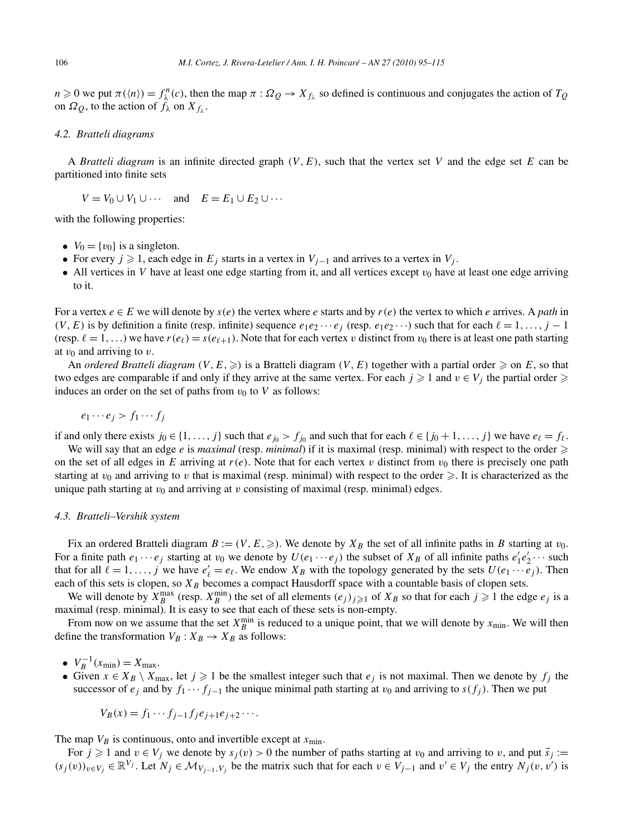$n \geq 0$  we put  $\pi(\langle n \rangle) = f_{\lambda}^{n}(c)$ , then the map  $\pi : \Omega_{Q} \to X_{f_{\lambda}}$  so defined is continuous and conjugates the action of  $T_{Q}$ on  $\Omega_Q$ , to the action of  $f_\lambda$  on  $X_{f_\lambda}$ .

# *4.2. Bratteli diagrams*

A *Bratteli diagram* is an infinite directed graph *(V,E)*, such that the vertex set *V* and the edge set *E* can be partitioned into finite sets

$$
V = V_0 \cup V_1 \cup \cdots \quad \text{and} \quad E = E_1 \cup E_2 \cup \cdots
$$

with the following properties:

- $V_0 = \{v_0\}$  is a singleton.
- For every  $j \ge 1$ , each edge in  $E_j$  starts in a vertex in  $V_{j-1}$  and arrives to a vertex in  $V_j$ .
- All vertices in *V* have at least one edge starting from it, and all vertices except  $v_0$  have at least one edge arriving to it.

For a vertex  $e \in E$  we will denote by  $s(e)$  the vertex where  $e$  starts and by  $r(e)$  the vertex to which  $e$  arrives. A *path* in  $(V, E)$  is by definition a finite (resp. infinite) sequence  $e_1e_2 \cdots e_j$  (resp.  $e_1e_2 \cdots$ ) such that for each  $\ell = 1, \ldots, j - 1$ (resp.  $\ell = 1, \ldots$ ) we have  $r(e_{\ell}) = s(e_{\ell+1})$ . Note that for each vertex *v* distinct from  $v_0$  there is at least one path starting at  $v_0$  and arriving to  $v$ .

An *ordered Bratteli diagram*  $(V, E, \geq)$  is a Bratteli diagram  $(V, E)$  together with a partial order  $\geq$  on E, so that two edges are comparable if and only if they arrive at the same vertex. For each  $j \geq 1$  and  $v \in V_j$  the partial order  $\geq$ induces an order on the set of paths from  $v_0$  to *V* as follows:

$$
e_1\cdots e_j>f_1\cdots f_j
$$

if and only there exists  $j_0 \in \{1, \ldots, j\}$  such that  $e_{j_0} > f_{j_0}$  and such that for each  $\ell \in \{j_0 + 1, \ldots, j\}$  we have  $e_{\ell} = f_{\ell}$ .

We will say that an edge *e* is *maximal* (resp. *minimal*) if it is maximal (resp. minimal) with respect to the order  $\geq$ on the set of all edges in *E* arriving at  $r(e)$ . Note that for each vertex *v* distinct from  $v_0$  there is precisely one path starting at  $v_0$  and arriving to *v* that is maximal (resp. minimal) with respect to the order  $\geq$ . It is characterized as the unique path starting at  $v_0$  and arriving at  $v$  consisting of maximal (resp. minimal) edges.

# *4.3. Bratteli–Vershik system*

Fix an ordered Bratteli diagram  $B := (V, E, \geqslant)$ . We denote by  $X_B$  the set of all infinite paths in *B* starting at  $v_0$ . For a finite path  $e_1 \cdots e_j$  starting at  $v_0$  we denote by  $U(e_1 \cdots e_j)$  the subset of  $X_B$  of all infinite paths  $e'_1 e'_2 \cdots$  such that for all  $\ell = 1, \ldots, j$  we have  $e'_{\ell} = e_{\ell}$ . We endow  $X_B$  with the topology generated by the sets  $U(e_1 \cdots e_j)$ . Then each of this sets is clopen, so  $X_B$  becomes a compact Hausdorff space with a countable basis of clopen sets.

We will denote by  $X_B^{\max}$  (resp.  $X_B^{\min}$ ) the set of all elements  $(e_j)_{j\geqslant 1}$  of  $X_B$  so that for each  $j\geqslant 1$  the edge  $e_j$  is a maximal (resp. minimal). It is easy to see that each of these sets is non-empty.

From now on we assume that the set  $X_B^{\text{min}}$  is reduced to a unique point, that we will denote by  $x_{\text{min}}$ . We will then define the transformation  $V_B: X_B \to X_B$  as follows:

- $V_B^{-1}(x_{\min}) = X_{\max}$ .
- Given  $x \in X_B \setminus X_{\text{max}}$ , let  $j \ge 1$  be the smallest integer such that  $e_j$  is not maximal. Then we denote by  $f_j$  the successor of  $e_j$  and by  $f_1 \cdots f_{j-1}$  the unique minimal path starting at  $v_0$  and arriving to  $s(f_j)$ . Then we put

$$
V_B(x) = f_1 \cdots f_{j-1} f_j e_{j+1} e_{j+2} \cdots
$$

The map  $V_B$  is continuous, onto and invertible except at  $x_{\text{min}}$ .

For  $j \ge 1$  and  $v \in V_j$  we denote by  $s_j(v) > 0$  the number of paths starting at  $v_0$  and arriving to v, and put  $\vec{s}_j :=$  $(s_j(v))_{v \in V_j}$  ∈  $\mathbb{R}^{V_j}$ . Let  $N_j \in \mathcal{M}_{V_{j-1}, V_j}$  be the matrix such that for each  $v \in V_{j-1}$  and  $v' \in V_j$  the entry  $N_j(v, v')$  is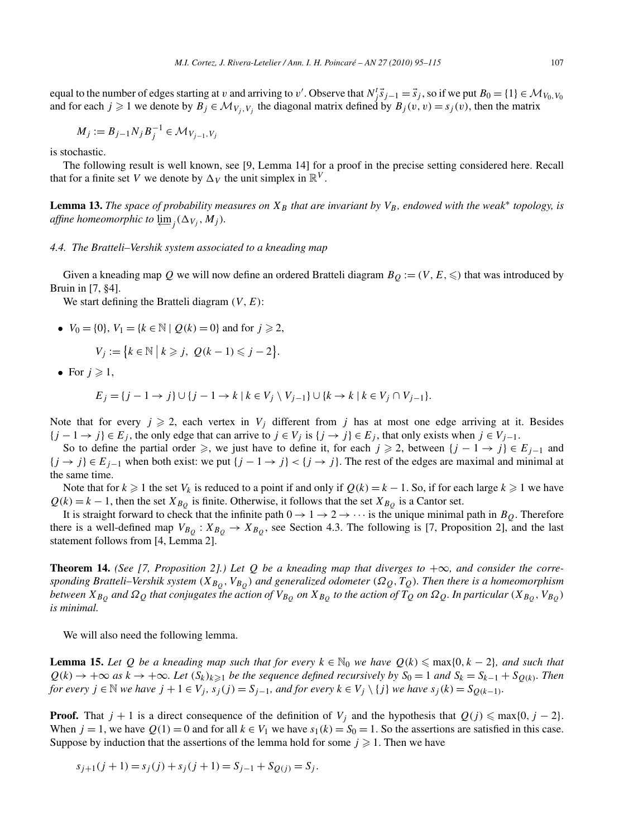$$
M_j := B_{j-1} N_j B_j^{-1} \in \mathcal{M}_{V_{j-1}, V_j}
$$

is stochastic.

The following result is well known, see [9, Lemma 14] for a proof in the precise setting considered here. Recall that for a finite set *V* we denote by  $\Delta_V$  the unit simplex in  $\mathbb{R}^V$ .

**Lemma 13.** *The space of probability measures on*  $X_B$  *that are invariant by*  $V_B$ *, endowed with the weak<sup>\*</sup> topology, is*  $\alpha$ *ffine homeomorphic to*  $\varprojlim_j (\Delta_{V_j}, M_j)$ *.* 

# *4.4. The Bratteli–Vershik system associated to a kneading map*

Given a kneading map  $Q$  we will now define an ordered Bratteli diagram  $B_Q := (V, E, \leqslant)$  that was introduced by Bruin in [7, §4].

We start defining the Bratteli diagram *(V,E)*:

•  $V_0 = \{0\}, V_1 = \{k \in \mathbb{N} \mid Q(k) = 0\}$  and for  $j \ge 2$ ,

$$
V_j := \{k \in \mathbb{N} \mid k \geq j, \ Q(k-1) \leq j-2\}.
$$

• For  $j \geqslant 1$ ,

$$
E_j = \{j-1 \rightarrow j\} \cup \{j-1 \rightarrow k \mid k \in V_j \setminus V_{j-1}\} \cup \{k \rightarrow k \mid k \in V_j \cap V_{j-1}\}.
$$

Note that for every  $j \ge 2$ , each vertex in  $V_j$  different from *j* has at most one edge arriving at it. Besides  ${j-1}$  →  ${j}$   $\in$  *E<sub>j</sub>*, the only edge that can arrive to  $j \in V_j$  is  ${j \rightarrow j}$   $\in$  *E<sub>j</sub>*, that only exists when  $j \in V_{j-1}$ .

So to define the partial order  $\geq$ , we just have to define it, for each *j*  $\geq$  2, between {*j* − 1 → *j*}  $\in$  *E<sub>j−1</sub>* and  ${j \rightarrow j} \in E_{j-1}$  when both exist: we put  ${j-1 \rightarrow j} < {j \rightarrow j}$ . The rest of the edges are maximal and minimal at the same time.

Note that for  $k \ge 1$  the set  $V_k$  is reduced to a point if and only if  $Q(k) = k - 1$ . So, if for each large  $k \ge 1$  we have  $Q(k) = k - 1$ , then the set  $X_{B<sub>O</sub>}$  is finite. Otherwise, it follows that the set  $X_{B<sub>O</sub>}$  is a Cantor set.

It is straight forward to check that the infinite path  $0 \to 1 \to 2 \to \cdots$  is the unique minimal path in  $B<sub>O</sub>$ . Therefore there is a well-defined map  $V_{B_O}$ :  $X_{B_O} \rightarrow X_{B_O}$ , see Section 4.3. The following is [7, Proposition 2], and the last statement follows from [4, Lemma 2].

**Theorem 14.** *(See [7, Proposition 2].) Let Q be a kneading map that diverges to*  $+\infty$ *, and consider the corresponding Bratteli–Vershik system*  $(X_{B_Q}, V_{B_Q})$  *and generalized odometer*  $(\Omega_Q, T_Q)$ *. Then there is a homeomorphism between*  $X_{B_Q}$  *and*  $\Omega_Q$  *that conjugates the action of*  $V_{B_Q}$  *on*  $X_{B_Q}$  *to the action of*  $T_Q$  *on*  $\Omega_Q$ *. In particular*  $(X_{B_Q}, V_{B_Q})$ *is minimal.*

We will also need the following lemma.

**Lemma 15.** *Let*  $Q$  *be a kneading map such that for every*  $k \in \mathbb{N}_0$  *we have*  $Q(k) \leq \max\{0, k - 2\}$ *, and such that*  $Q(k) \to +\infty$  *as*  $k \to +\infty$ *. Let*  $(S_k)_{k\geq 1}$  *be the sequence defined recursively by*  $S_0 = 1$  *and*  $S_k = S_{k-1} + S_{Q(k)}$ *. Then* for every  $j \in \mathbb{N}$  we have  $j + 1 \in V_j$ ,  $s_j(j) = S_{j-1}$ , and for every  $k \in V_j \setminus \{j\}$  we have  $s_j(k) = S_{Q(k-1)}$ .

**Proof.** That  $j + 1$  is a direct consequence of the definition of  $V_j$  and the hypothesis that  $Q(j) \leq \max\{0, j - 2\}$ . When  $j = 1$ , we have  $Q(1) = 0$  and for all  $k \in V_1$  we have  $s_1(k) = S_0 = 1$ . So the assertions are satisfied in this case. Suppose by induction that the assertions of the lemma hold for some  $j \geq 1$ . Then we have

$$
s_{j+1}(j + 1) = s_j(j) + s_j(j + 1) = S_{j-1} + S_{Q(j)} = S_j.
$$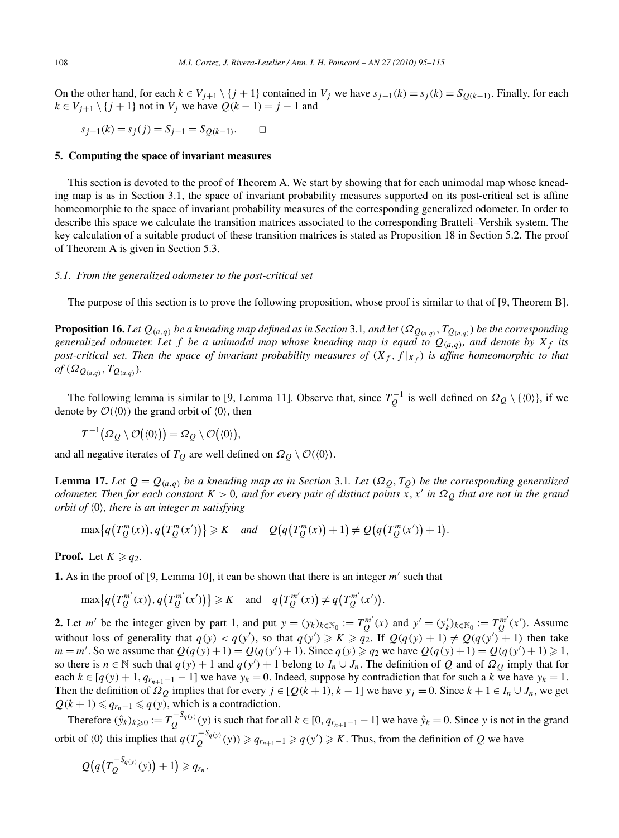On the other hand, for each  $k \in V_{j+1} \setminus \{j+1\}$  contained in  $V_j$  we have  $s_{j-1}(k) = s_j(k) = S_{Q(k-1)}$ . Finally, for each *k* ∈ *V*<sub>*i*+1</sub>  $\setminus$  {*j* + 1} not in *V<sub>i</sub>* we have  $Q(k-1) = j - 1$  and

$$
s_{j+1}(k) = s_j(j) = S_{j-1} = S_{Q(k-1)}.
$$

# **5. Computing the space of invariant measures**

This section is devoted to the proof of Theorem A. We start by showing that for each unimodal map whose kneading map is as in Section 3.1, the space of invariant probability measures supported on its post-critical set is affine homeomorphic to the space of invariant probability measures of the corresponding generalized odometer. In order to describe this space we calculate the transition matrices associated to the corresponding Bratteli–Vershik system. The key calculation of a suitable product of these transition matrices is stated as Proposition 18 in Section 5.2. The proof of Theorem A is given in Section 5.3.

# *5.1. From the generalized odometer to the post-critical set*

The purpose of this section is to prove the following proposition, whose proof is similar to that of [9, Theorem B].

**Proposition 16.** Let  $Q_{(a,q)}$  be a kneading map defined as in Section 3.1, and let  $(\Omega_{Q_{(a,q)}}, T_{Q_{(a,q)}})$  be the corresponding *generalized odometer. Let f be a unimodal map whose kneading map is equal to*  $Q_{(a,q)}$ *, and denote by*  $X_f$  *its post-critical set. Then the space of invariant probability measures of*  $(X_f, f | X_f)$  *is affine homeomorphic to that*  $of$   $(\Omega_{Q_{(a,a)}}, T_{Q_{(a,a)}})$ *.* 

The following lemma is similar to [9, Lemma 11]. Observe that, since  $T_Q^{-1}$  is well defined on  $\Omega_Q \setminus \{ \langle 0 \rangle \}$ , if we denote by  $\mathcal{O}(\langle 0 \rangle)$  the grand orbit of  $\langle 0 \rangle$ , then

$$
T^{-1}(\Omega_Q \setminus \mathcal{O}(\langle 0 \rangle)) = \Omega_Q \setminus \mathcal{O}(\langle 0 \rangle),
$$

and all negative iterates of  $T_Q$  are well defined on  $\Omega_Q \setminus \mathcal{O}(\langle 0 \rangle)$ .

**Lemma 17.** Let  $Q = Q_{(a,q)}$  be a kneading map as in Section 3.1. Let  $(\Omega_Q, T_Q)$  be the corresponding generalized *odometer. Then for each constant K >* 0*, and for every pair of distinct points x,x in ΩQ that are not in the grand orbit of*  $\langle 0 \rangle$ *, there is an integer m satisfying* 

$$
\max\{q(T_Q^m(x)), q(T_Q^m(x'))\} \geq K \quad \text{and} \quad Q\big(q(T_Q^m(x))+1\big) \neq Q\big(q(T_Q^m(x'))+1\big).
$$

**Proof.** Let  $K \geqslant q_2$ .

**1.** As in the proof of [9, Lemma 10], it can be shown that there is an integer m' such that

$$
\max\{q(T_Q^{m'}(x)), q(T_Q^{m'}(x'))\} \geq K \quad \text{and} \quad q(T_Q^{m'}(x)) \neq q(T_Q^{m'}(x')).
$$

**2.** Let m' be the integer given by part 1, and put  $y = (y_k)_{k \in \mathbb{N}_0} := T_Q^{m'}(x)$  and  $y' = (y'_k)_{k \in \mathbb{N}_0} := T_Q^{m'}(x')$ . Assume without loss of generality that  $q(y) < q(y')$ , so that  $q(y') \ge K \ge q_2$ . If  $Q(q(y) + 1) \ne Q(q(y') + 1)$  then take *m* = *m'*. So we assume that  $Q(q(y) + 1) = Q(q(y') + 1)$ . Since  $q(y) \ge q_2$  we have  $Q(q(y) + 1) = Q(q(y') + 1) \ge 1$ , so there is  $n \in \mathbb{N}$  such that  $q(y) + 1$  and  $q(y') + 1$  belong to  $I_n \cup J_n$ . The definition of *Q* and of  $\Omega_Q$  imply that for each  $k \in [q(y) + 1, q_{r+1-1} - 1]$  we have  $y_k = 0$ . Indeed, suppose by contradiction that for such a *k* we have  $y_k = 1$ . Then the definition of  $\Omega_Q$  implies that for every  $j \in [Q(k+1), k-1]$  we have  $y_j = 0$ . Since  $k+1 \in I_n \cup J_n$ , we get  $Q(k + 1) \leq q_{r_n-1} \leq q(y)$ , which is a contradiction.

Therefore  $(\hat{y}_k)_{k \geqslant 0} := T_Q^{-S_{q(y)}}(y)$  is such that for all  $k \in [0, q_{r_{n+1}-1} - 1]$  we have  $\hat{y}_k = 0$ . Since *y* is not in the grand orbit of  $\langle 0 \rangle$  this implies that  $q(T_Q^{-S_{q(y)}}(y)) \geqslant q_{r_{n+1}-1} \geqslant q(y') \geqslant K$ . Thus, from the definition of *Q* we have

$$
Q(q(T_Q^{-S_{q(y)}}(y))+1)\geqslant q_{r_n}.
$$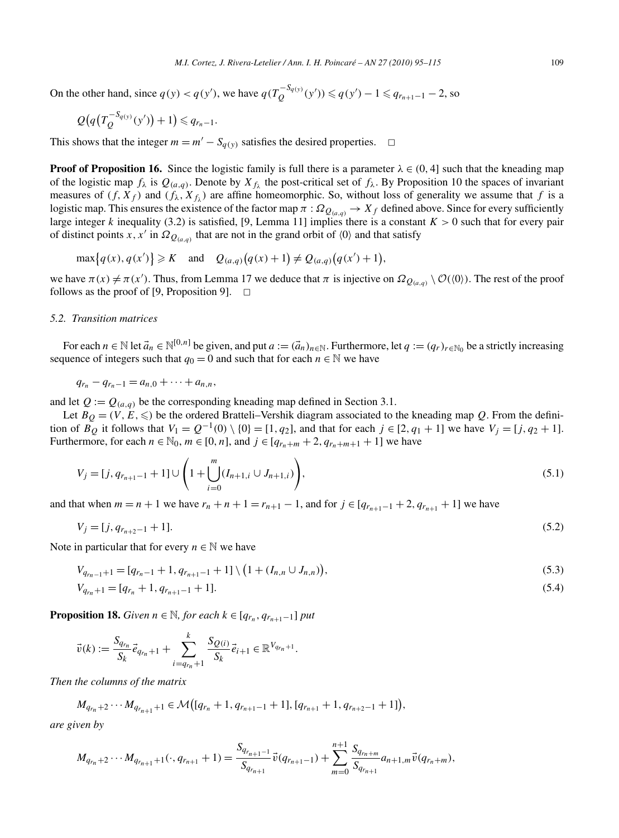On the other hand, since  $q(y) < q(y')$ , we have  $q(T_Q^{-S_{q(y)}}(y')) \leqslant q(y') - 1 \leqslant q_{r_{n+1}-1} - 2$ , so

$$
Q\big(q\big(T_Q^{-S_{q(y)}}(y')\big)+1\big)\leqslant q_{r_n-1}.
$$

This shows that the integer  $m = m' - S_{q(y)}$  satisfies the desired properties.  $\Box$ 

**Proof of Proposition 16.** Since the logistic family is full there is a parameter  $\lambda \in (0, 4]$  such that the kneading map of the logistic map  $f_\lambda$  is  $Q_{(a,q)}$ . Denote by  $X_{f_\lambda}$  the post-critical set of  $f_\lambda$ . By Proposition 10 the spaces of invariant measures of  $(f, X_f)$  and  $(f_\lambda, X_f)$  are affine homeomorphic. So, without loss of generality we assume that *f* is a logistic map. This ensures the existence of the factor map  $\pi$  :  $\Omega_{Q_{(a,q)}} \to X_f$  defined above. Since for every sufficiently large integer *k* inequality (3.2) is satisfied, [9, Lemma 11] implies there is a constant  $K > 0$  such that for every pair of distinct points *x*, *x'* in  $\Omega_{Q_{(a,q)}}$  that are not in the grand orbit of  $\langle 0 \rangle$  and that satisfy

 $\max\{q(x), q(x')\} \ge K$  and  $Q_{(a,q)}(q(x)+1) \ne Q_{(a,q)}(q(x')+1),$ 

we have  $\pi(x) \neq \pi(x')$ . Thus, from Lemma 17 we deduce that  $\pi$  is injective on  $\Omega_{Q(a,q)} \setminus \mathcal{O}(\langle 0 \rangle)$ . The rest of the proof follows as the proof of [9, Proposition 9].  $\Box$ 

# *5.2. Transition matrices*

For each  $n \in \mathbb{N}$  let  $\vec{a}_n \in \mathbb{N}^{[0,n]}$  be given, and put  $a := (\vec{a}_n)_{n \in \mathbb{N}}$ . Furthermore, let  $q := (q_r)_{r \in \mathbb{N}_0}$  be a strictly increasing sequence of integers such that  $q_0 = 0$  and such that for each  $n \in \mathbb{N}$  we have

 $q_{r_n} - q_{r_n-1} = a_{n,0} + \cdots + a_{n,n}$ 

and let  $Q := Q_{(a,q)}$  be the corresponding kneading map defined in Section 3.1.

Let  $B_Q = (V, E, \leqslant)$  be the ordered Bratteli–Vershik diagram associated to the kneading map *Q*. From the definition of  $\overline{B_Q}$  it follows that  $V_1 = Q^{-1}(0) \setminus \{0\} = [1, q_2]$ , and that for each *j* ∈ [2*, q*<sub>1</sub> + 1] we have  $V_j = [j, q_2 + 1]$ . Furthermore, for each  $n \in \mathbb{N}_0$ ,  $m \in [0, n]$ , and  $j \in [q_{r_n+m} + 2, q_{r_n+m+1} + 1]$  we have

$$
V_j = [j, q_{r_{n+1}-1} + 1] \cup \left(1 + \bigcup_{i=0}^m (I_{n+1,i} \cup J_{n+1,i})\right),\tag{5.1}
$$

and that when  $m = n + 1$  we have  $r_n + n + 1 = r_{n+1} - 1$ , and for  $j \in [q_{r_{n+1}-1} + 2, q_{r_{n+1}} + 1]$  we have

$$
V_j = [j, q_{r_{n+2}-1} + 1]. \tag{5.2}
$$

Note in particular that for every  $n \in \mathbb{N}$  we have

$$
V_{q_{r_n-1}+1} = [q_{r_n-1}+1, q_{r_{n+1}-1}+1] \setminus \big(1 + (I_{n,n} \cup J_{n,n})\big),\tag{5.3}
$$

$$
V_{q_{r_n}+1} = [q_{r_n} + 1, q_{r_{n+1}-1} + 1].
$$
\n(5.4)

**Proposition 18.** *Given*  $n \in \mathbb{N}$ *, for each*  $k \in [q_{r_n}, q_{r_{n+1}-1}]$  *put* 

$$
\vec{v}(k) := \frac{S_{q_{r_n}}}{S_k} \vec{e}_{q_{r_n}+1} + \sum_{i=q_{r_n}+1}^k \frac{S_{Q(i)}}{S_k} \vec{e}_{i+1} \in \mathbb{R}^{V_{q_{r_n}+1}}.
$$

*Then the columns of the matrix*

$$
M_{q_{r_n}+2}\cdots M_{q_{r_{n+1}}+1}\in \mathcal{M}([q_{r_n}+1,q_{r_{n+1}-1}+1],[q_{r_{n+1}}+1,q_{r_{n+2}-1}+1]),
$$

*are given by*

$$
M_{q_{r_n}+2}\cdots M_{q_{r_{n+1}}+1}(\cdot,q_{r_{n+1}}+1)=\frac{S_{q_{r_{n+1}-1}}}{S_{q_{r_{n+1}}}}\vec{v}(q_{r_{n+1}-1})+\sum_{m=0}^{n+1}\frac{S_{q_{r_n+m}}}{S_{q_{r_{n+1}}}}a_{n+1,m}\vec{v}(q_{r_n+m}),
$$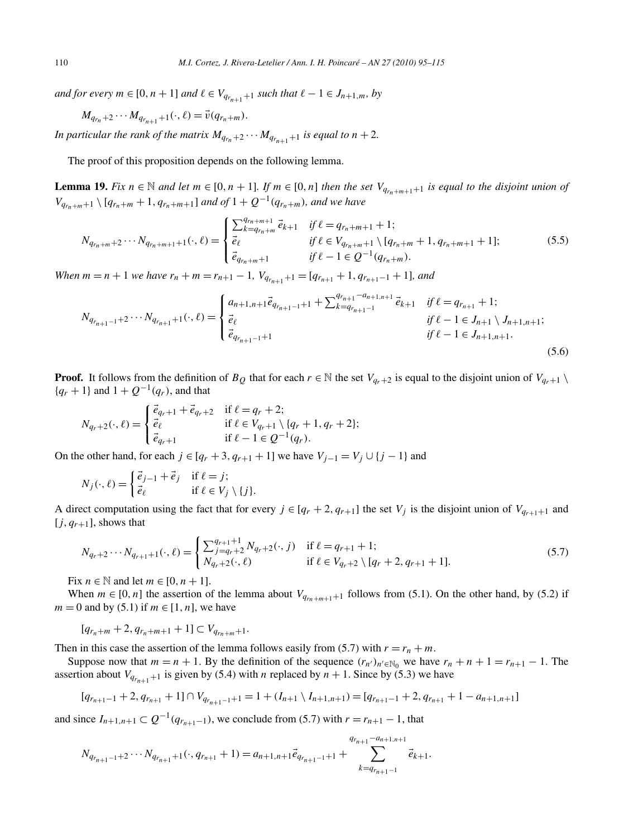*and for every*  $m \in [0, n + 1]$  *and*  $\ell \in V_{q_{r_{n+1}+1}}$  *such that*  $\ell - 1 \in J_{n+1,m}$ *, by* 

 $M_{q_{r_n}+2}\cdots M_{q_{r_{n+1}+1}}(\cdot,\ell)=\vec{v}(q_{r_n+m}).$ 

*In particular the rank of the matrix*  $M_{q_{r_n}+2} \cdots M_{q_{r_{n+1}+1}}$  *is equal to*  $n+2$ *.* 

The proof of this proposition depends on the following lemma.

**Lemma 19.** Fix  $n \in \mathbb{N}$  and let  $m \in [0, n + 1]$ . If  $m \in [0, n]$  then the set  $V_{q_{r_n}+m+1}$  is equal to the disjoint union of *V*<sub>*q<sub>rn</sub>*+*m*+1  $\setminus$  [*qr<sub>n</sub>*+*m*</sub> + 1*, q<sub>r<sub>n</sub>+<i>m*+1] *and of* 1 + *Q*<sup>−1</sup>(*q<sub>r<sub>n</sub>+<i>m*</sub>)*, and we have*</sub>

$$
N_{q_{r_n+m}+2}\cdots N_{q_{r_n+m+1}+1}(\cdot,\ell) = \begin{cases} \sum_{k=q_{r_n+m}+1}^{q_{r_n+m+1}} \vec{e}_{k+1} & \text{if } \ell = q_{r_n+m+1}+1; \\ \vec{e}_{\ell} & \text{if } \ell \in V_{q_{r_n+m}+1} \setminus [q_{r_n+m}+1, q_{r_n+m+1}+1]; \\ \vec{e}_{q_{r_n+m}+1} & \text{if } \ell-1 \in Q^{-1}(q_{r_n+m}). \end{cases} \tag{5.5}
$$

*When*  $m = n + 1$  *we have*  $r_n + m = r_{n+1} - 1$ *,*  $V_{q_{r_{n+1}+1}} = [q_{r_{n+1}} + 1, q_{r_{n+1}-1} + 1]$ *, and* 

$$
N_{q_{r_{n+1}-1}+2}\cdots N_{q_{r_{n+1}}+1}(\cdot,\ell) = \begin{cases} a_{n+1,n+1}\vec{e}_{q_{r_{n+1}-1}+1} + \sum_{k=q_{r_{n+1}-1}}^{q_{r_{n+1}-1}+1} \vec{e}_{k+1} & \text{if } \ell = q_{r_{n+1}}+1; \\ \vec{e}_{\ell} & \text{if } \ell-1 \in J_{n+1} \setminus J_{n+1,n+1}; \\ \vec{e}_{q_{r_{n+1}-1}+1} & \text{if } \ell-1 \in J_{n+1,n+1}. \end{cases}
$$
(5.6)

**Proof.** It follows from the definition of  $B_Q$  that for each  $r \in \mathbb{N}$  the set  $V_{q_r+2}$  is equal to the disjoint union of  $V_{q_r+1} \setminus$  ${q_r + 1}$  and  $1 + Q^{-1}(q_r)$ , and that

$$
N_{q_r+2}(\cdot,\ell) = \begin{cases} \vec{e}_{q_r+1} + \vec{e}_{q_r+2} & \text{if } \ell = q_r + 2; \\ \vec{e}_{\ell} & \text{if } \ell \in V_{q_r+1} \setminus \{q_r+1, q_r+2\}; \\ \vec{e}_{q_r+1} & \text{if } \ell - 1 \in Q^{-1}(q_r). \end{cases}
$$

On the other hand, for each  $j \in [q_r + 3, q_{r+1} + 1]$  we have  $V_{j-1} = V_j \cup \{j-1\}$  and

$$
N_j(\cdot,\ell) = \begin{cases} \vec{e}_{j-1} + \vec{e}_j & \text{if } \ell = j; \\ \vec{e}_{\ell} & \text{if } \ell \in V_j \setminus \{j\}. \end{cases}
$$

A direct computation using the fact that for every  $j \in [q_r + 2, q_{r+1}]$  the set  $V_j$  is the disjoint union of  $V_{q_{r+1}+1}$  and  $[j, q_{r+1}]$ , shows that

$$
N_{q_r+2}\cdots N_{q_{r+1}+1}(\cdot,\ell) = \begin{cases} \sum_{j=q_r+2}^{q_{r+1}+1} N_{q_r+2}(\cdot,j) & \text{if } \ell = q_{r+1}+1; \\ N_{q_r+2}(\cdot,\ell) & \text{if } \ell \in V_{q_r+2} \setminus [q_r+2,q_{r+1}+1]. \end{cases}
$$
(5.7)

Fix  $n \in \mathbb{N}$  and let  $m \in [0, n + 1]$ .

When  $m \in [0, n]$  the assertion of the lemma about  $V_{q_{rn+m+1}+1}$  follows from (5.1). On the other hand, by (5.2) if  $m = 0$  and by (5.1) if  $m \in [1, n]$ , we have

 $[q_{r_n+m}+2,q_{r_n+m+1}+1]\subset V_{q_{r_n+m}+1}.$ 

Then in this case the assertion of the lemma follows easily from (5.7) with  $r = r_n + m$ .

Suppose now that  $m = n + 1$ . By the definition of the sequence  $(r_{n'})_{n' \in \mathbb{N}_0}$  we have  $r_n + n + 1 = r_{n+1} - 1$ . The assertion about  $V_{q_{r_{n+1}+1}}$  is given by (5.4) with *n* replaced by  $n + 1$ . Since by (5.3) we have

$$
[q_{r_{n+1}-1}+2, q_{r_{n+1}}+1] \cap V_{q_{r_{n+1}-1}+1} = 1 + (I_{n+1} \setminus I_{n+1,n+1}) = [q_{r_{n+1}-1}+2, q_{r_{n+1}}+1 - a_{n+1,n+1}]
$$

and since  $I_{n+1,n+1}$  ⊂  $Q^{-1}(q_{r_{n+1}-1})$ , we conclude from (5.7) with  $r = r_{n+1} - 1$ , that

$$
N_{q_{r_{n+1}-1}+2}\cdots N_{q_{r_{n+1}}+1}(\cdot,q_{r_{n+1}}+1)=a_{n+1,n+1}\vec{e}_{q_{r_{n+1}-1}+1}+\sum_{k=q_{r_{n+1}-1}}^{q_{r_{n+1}-1}+1} \vec{e}_{k+1}.
$$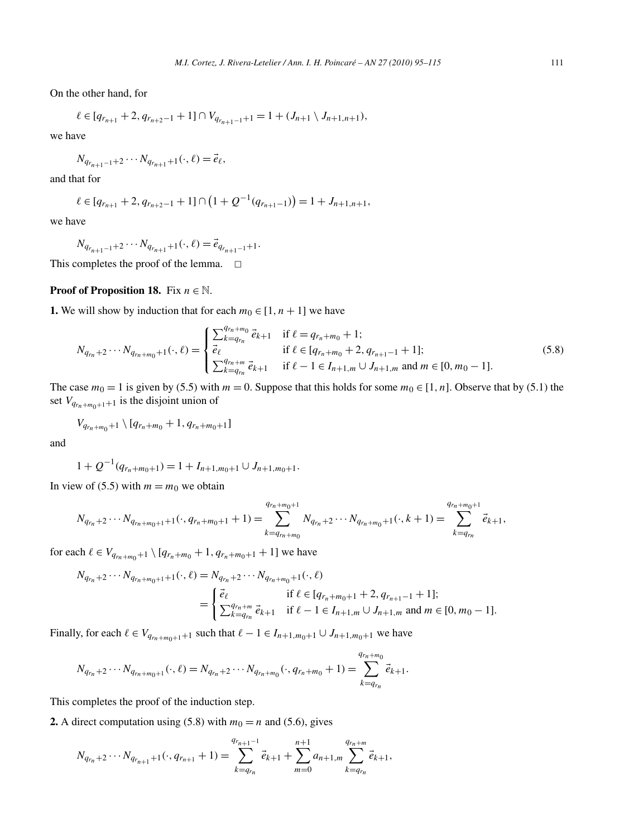On the other hand, for

$$
\ell \in [q_{r_{n+1}}+2, q_{r_{n+2}-1}+1] \cap V_{q_{r_{n+1}-1}+1} = 1 + (J_{n+1} \setminus J_{n+1,n+1}),
$$

we have

$$
N_{q_{r_{n+1}-1}+2} \cdots N_{q_{r_{n+1}}+1}(\cdot, \ell) = \vec{e}_{\ell},
$$

and that for

$$
\ell \in [q_{r_{n+1}}+2, q_{r_{n+2}-1}+1] \cap (1+Q^{-1}(q_{r_{n+1}-1})) = 1+J_{n+1,n+1},
$$

we have

$$
N_{q_{r_{n+1}-1}+2}\cdots N_{q_{r_{n+1}+1}}(\cdot,\ell)=\vec{e}_{q_{r_{n+1}-1}+1}.
$$

This completes the proof of the lemma.  $\Box$ 

# **Proof of Proposition 18.** Fix  $n \in \mathbb{N}$ .

**1.** We will show by induction that for each  $m_0 \in [1, n+1]$  we have

$$
N_{q_{r_n}+2}\cdots N_{q_{r_n+m_0}+1}(\cdot,\ell) = \begin{cases} \sum_{k=q_{r_n}}^{q_{r_n+m_0}} \vec{e}_{k+1} & \text{if } \ell = q_{r_n+m_0}+1; \\ \vec{e}_{\ell} & \text{if } \ell \in [q_{r_n+m_0}+2, q_{r_{n+1}-1}+1]; \\ \sum_{k=q_{r_n}}^{q_{r_n+m}} \vec{e}_{k+1} & \text{if } \ell - 1 \in I_{n+1,m} \cup J_{n+1,m} \text{ and } m \in [0,m_0-1]. \end{cases}
$$
(5.8)

The case  $m_0 = 1$  is given by (5.5) with  $m = 0$ . Suppose that this holds for some  $m_0 \in [1, n]$ . Observe that by (5.1) the set  $V_{q_{rn}+m_0+1}$  is the disjoint union of

$$
V_{q_{r_n+m_0}+1} \setminus [q_{r_n+m_0}+1, q_{r_n+m_0+1}]
$$

and

$$
1 + Q^{-1}(q_{r_n+m_0+1}) = 1 + I_{n+1,m_0+1} \cup J_{n+1,m_0+1}.
$$

In view of (5.5) with  $m = m_0$  we obtain

$$
N_{q_{r_n}+2}\cdots N_{q_{r_n+m_0+1}+1}(\cdot,q_{r_n+m_0+1}+1)=\sum_{k=q_{r_n+m_0}}^{q_{r_n+m_0+1}}N_{q_{r_n}+2}\cdots N_{q_{r_n+m_0+1}}(\cdot,k+1)=\sum_{k=q_{r_n}}^{q_{r_n+m_0+1}}\vec{e}_{k+1},
$$

for each  $\ell \in V_{q_{r_n+m_0}+1} \setminus [q_{r_n+m_0}+1, q_{r_n+m_0+1}+1]$  we have

$$
N_{q_{r_n}+2}\cdots N_{q_{r_n+m_0+1}+1}(\cdot,\ell) = N_{q_{r_n}+2}\cdots N_{q_{r_n+m_0}+1}(\cdot,\ell)
$$
  
= 
$$
\begin{cases} \vec{e}_{\ell} & \text{if } \ell \in [q_{r_n+m_0+1}+2,q_{r_{n+1}-1}+1]; \\ \sum_{k=q_{r_n}}^{q_{r_n+m}} \vec{e}_{k+1} & \text{if } \ell-1 \in I_{n+1,m} \cup J_{n+1,m} \text{ and } m \in [0,m_0-1]. \end{cases}
$$

Finally, for each  $\ell \in V_{q_{r_n+m_0+1}+1}$  such that  $\ell - 1 \in I_{n+1,m_0+1} \cup J_{n+1,m_0+1}$  we have

$$
N_{q_{r_n}+2}\cdots N_{q_{r_n+m_0+1}}(\cdot,\ell)=N_{q_{r_n}+2}\cdots N_{q_{r_n+m_0}}(\cdot,q_{r_n+m_0}+1)=\sum_{k=q_{r_n}}^{q_{r_n+m_0}} \vec{e}_{k+1}.
$$

This completes the proof of the induction step.

**2.** A direct computation using (5.8) with  $m_0 = n$  and (5.6), gives

$$
N_{q_{r_n}+2}\cdots N_{q_{r_{n+1}}+1}(\cdot,q_{r_{n+1}}+1)=\sum_{k=q_{r_n}}^{q_{r_{n+1}-1}}\vec{e}_{k+1}+\sum_{m=0}^{n+1}a_{n+1,m}\sum_{k=q_{r_n}}^{q_{r_n+m}}\vec{e}_{k+1},
$$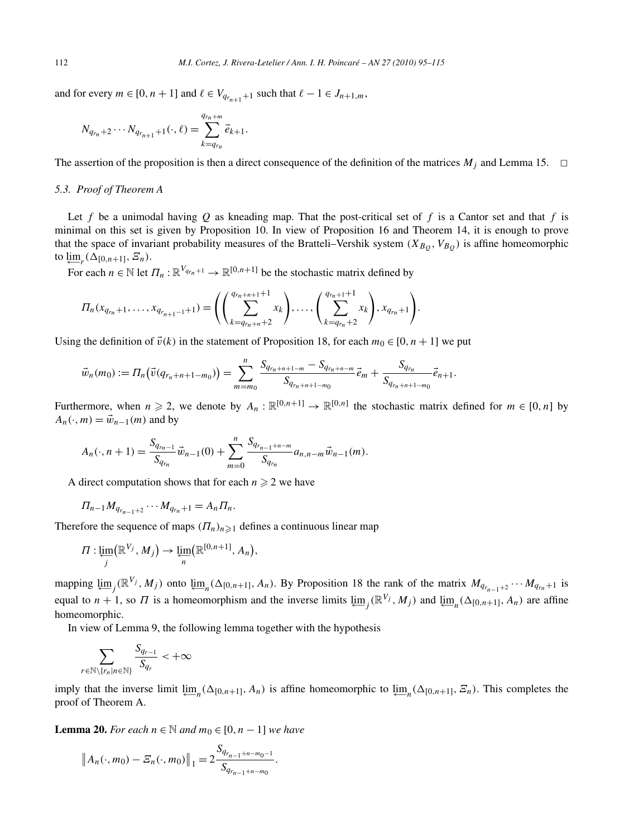and for every  $m \in [0, n + 1]$  and  $\ell \in V_{q_{r_{n+1}+1}}$  such that  $\ell - 1 \in J_{n+1,m}$ ,

$$
N_{q_{r_n}+2}\cdots N_{q_{r_{n+1}}+1}(\cdot,\ell)=\sum_{k=q_{r_n}}^{q_{r_n+m}} \vec{e}_{k+1}.
$$

The assertion of the proposition is then a direct consequence of the definition of the matrices  $M_i$  and Lemma 15.  $\Box$ 

#### *5.3. Proof of Theorem A*

Let *f* be a unimodal having *Q* as kneading map. That the post-critical set of *f* is a Cantor set and that *f* is minimal on this set is given by Proposition 10. In view of Proposition 16 and Theorem 14, it is enough to prove that the space of invariant probability measures of the Bratteli–Vershik system  $(X_{B_O}, V_{B_O})$  is affine homeomorphic to  $\varprojlim_r (\Delta_{[0,n+1]}, \varXi_n)$ .

For each  $n \in \mathbb{N}$  let  $\Pi_n : \mathbb{R}^{V_{q_n+1}} \to \mathbb{R}^{[0,n+1]}$  be the stochastic matrix defined by

$$
\Pi_n(x_{q_{r_n}+1},\ldots,x_{q_{r_{n+1}-1}+1})=\left(\left(\sum_{k=q_{r_n+n}+2}^{q_{r_n+n+1}+1}x_k\right),\ldots,\left(\sum_{k=q_{r_n}+2}^{q_{r_n+1}+1}x_k\right),x_{q_{r_n}+1}\right).
$$

Using the definition of  $\vec{v}(k)$  in the statement of Proposition 18, for each  $m_0 \in [0, n + 1]$  we put

$$
\vec{w}_n(m_0) := \Pi_n(\vec{v}(q_{r_n+n+1-m_0})) = \sum_{m=m_0}^n \frac{S_{q_{r_n+n+1-m}} - S_{q_{r_n+n-m}}}{S_{q_{r_n+n+1-m_0}}} \vec{e}_m + \frac{S_{q_{r_n}}}{S_{q_{r_n+n+1-m_0}}} \vec{e}_{n+1}.
$$

Furthermore, when  $n \ge 2$ , we denote by  $A_n : \mathbb{R}^{[0,n+1]} \to \mathbb{R}^{[0,n]}$  the stochastic matrix defined for  $m \in [0,n]$  by  $A_n(\cdot,m) = \vec{w}_{n-1}(m)$  and by

$$
A_n(\cdot, n+1) = \frac{S_{q_{r_n-1}}}{S_{q_{r_n}}} \vec{w}_{n-1}(0) + \sum_{m=0}^n \frac{S_{q_{r_{n-1}+n-m}}}{S_{q_{r_n}}} a_{n,n-m} \vec{w}_{n-1}(m).
$$

A direct computation shows that for each  $n \geq 2$  we have

$$
\Pi_{n-1}M_{q_{r_{n-1}+2}}\cdots M_{q_{r_n}+1}=A_n\Pi_n.
$$

Therefore the sequence of maps  $(\Pi_n)_{n \geq 1}$  defines a continuous linear map

$$
\Pi: \varprojlim_j \bigl(\mathbb{R}^{V_j}, M_j\bigr) \to \varprojlim_n \bigl(\mathbb{R}^{[0,n+1]}, A_n\bigr),
$$

mapping  $\varprojlim_{i} (\mathbb{R}^{V_i}, M_i)$  onto  $\varprojlim_{n} (\Delta_{[0,n+1]}, A_n)$ . By Proposition 18 the rank of the matrix  $M_{q_{r_n-1}+2} \cdots M_{q_{r_n}+1}$  is equal to  $n + 1$ , so  $\Pi$  is a homeomorphism and the inverse limits  $\lim_{n \to \infty} \left( \mathbb{R}^{V_j}, M_j \right)$  and  $\lim_{n \to \infty} \left( \Delta_{[0,n+1]}, A_n \right)$  are affine homeomorphic.

In view of Lemma 9, the following lemma together with the hypothesis

$$
\sum_{r \in \mathbb{N} \setminus \{r_n | n \in \mathbb{N}\}} \frac{S_{q_{r-1}}}{S_{q_r}} < +\infty
$$

imply that the inverse limit  $\lim_{n}$ ,  $(\Delta_{[0,n+1]}, A_n)$  is affine homeomorphic to  $\lim_{n}$ ,  $(\Delta_{[0,n+1]}, \Sigma_n)$ . This completes the proof of Theorem A.

**Lemma 20.** *For each*  $n \in \mathbb{N}$  *and*  $m_0 \in [0, n-1]$  *we have* 

$$
||A_n(\cdot,m_0)-\mathcal{Z}_n(\cdot,m_0)||_1=2\frac{S_{q_{r_{n-1}+n-m_0-1}}}{S_{q_{r_{n-1}+n-m_0}}}.
$$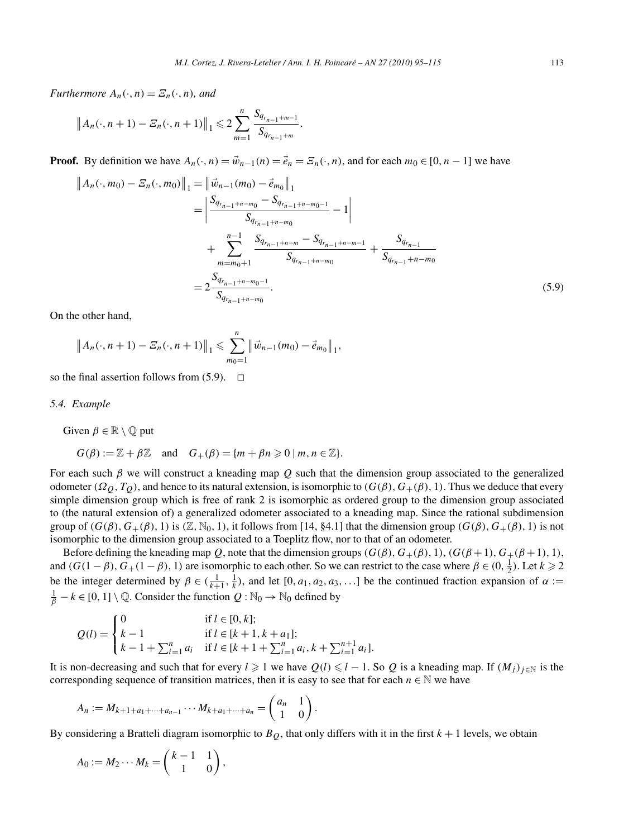*Furthermore*  $A_n(\cdot, n) = \mathcal{Z}_n(\cdot, n)$ *, and* 

$$
||A_n(\cdot,n+1)-\mathcal{Z}_n(\cdot,n+1)||_1 \leq 2\sum_{m=1}^n \frac{S_{q_{r_{n-1}+m-1}}}{S_{q_{r_{n-1}+m}}}.
$$

**Proof.** By definition we have  $A_n(\cdot, n) = \vec{w}_{n-1}(n) = \vec{e}_n = \mathcal{E}_n(\cdot, n)$ , and for each  $m_0 \in [0, n-1]$  we have

$$
||A_n(\cdot, m_0) - \mathcal{E}_n(\cdot, m_0)||_1 = ||\vec{w}_{n-1}(m_0) - \vec{e}_{m_0}||_1
$$
  
\n
$$
= \left| \frac{S_{q_{r_{n-1}+n-m_0}} - S_{q_{r_{n-1}+n-m_0-1}} - 1}{S_{q_{r_{n-1}+n-m_0}}} - 1 \right|
$$
  
\n
$$
+ \sum_{m=m_0+1}^{n-1} \frac{S_{q_{r_{n-1}+n-m}} - S_{q_{r_{n-1}+n-m-1}}}{S_{q_{r_{n-1}+n-m_0}}} + \frac{S_{q_{r_{n-1}}}}{S_{q_{r_{n-1}+n-m_0}}} \right|
$$
  
\n
$$
= 2 \frac{S_{q_{r_{n-1}+n-m_0-1}}}{S_{q_{r_{n-1}+n-m_0}}}.
$$
\n(5.9)

On the other hand,

$$
||A_n(\cdot,n+1)-\mathcal{Z}_n(\cdot,n+1)||_1 \leq \sum_{m_0=1}^n ||\vec{w}_{n-1}(m_0)-\vec{e}_{m_0}||_1,
$$

so the final assertion follows from  $(5.9)$ .  $\Box$ 

*5.4. Example*

Given  $\beta \in \mathbb{R} \setminus \mathbb{Q}$  put

$$
G(\beta) := \mathbb{Z} + \beta \mathbb{Z} \quad \text{and} \quad G_{+}(\beta) = \{m + \beta n \geq 0 \mid m, n \in \mathbb{Z}\}.
$$

For each such *β* we will construct a kneading map *Q* such that the dimension group associated to the generalized odometer  $(Ω<sub>Q</sub>, T<sub>Q</sub>)$ , and hence to its natural extension, is isomorphic to  $(G(β), G<sub>+</sub>(β), 1)$ . Thus we deduce that every simple dimension group which is free of rank 2 is isomorphic as ordered group to the dimension group associated to (the natural extension of) a generalized odometer associated to a kneading map. Since the rational subdimension group of  $(G(\beta), G_+(\beta), 1)$  is  $(\mathbb{Z}, \mathbb{N}_0, 1)$ , it follows from [14, §4.1] that the dimension group  $(G(\beta), G_+(\beta), 1)$  is not isomorphic to the dimension group associated to a Toeplitz flow, nor to that of an odometer.

Before defining the kneading map *Q*, note that the dimension groups  $(G(\beta), G_{+}(\beta), 1)$ ,  $(G(\beta+1), G_{+}(\beta+1), 1)$ , and  $(G(1 - \beta), G_+(1 - \beta), 1)$  are isomorphic to each other. So we can restrict to the case where  $\beta \in (0, \frac{1}{2})$ . Let  $k \ge 2$ be the integer determined by  $\beta \in (\frac{1}{k+1}, \frac{1}{k})$ , and let  $[0, a_1, a_2, a_3, \ldots]$  be the continued fraction expansion of  $\alpha :=$  $\frac{1}{\beta}$  − *k* ∈ [0, 1] \ ℚ. Consider the function *Q* : N<sub>0</sub> → N<sub>0</sub> defined by

$$
Q(l) = \begin{cases} 0 & \text{if } l \in [0, k]; \\ k - 1 & \text{if } l \in [k + 1, k + a_1]; \\ k - 1 + \sum_{i=1}^n a_i & \text{if } l \in [k + 1 + \sum_{i=1}^n a_i, k + \sum_{i=1}^{n+1} a_i]. \end{cases}
$$

It is non-decreasing and such that for every  $l \geq 1$  we have  $Q(l) \leq l - 1$ . So  $Q$  is a kneading map. If  $(M_j)_{j \in \mathbb{N}}$  is the corresponding sequence of transition matrices, then it is easy to see that for each  $n \in \mathbb{N}$  we have

$$
A_n := M_{k+1+a_1+\cdots+a_{n-1}} \cdots M_{k+a_1+\cdots+a_n} = \begin{pmatrix} a_n & 1 \\ 1 & 0 \end{pmatrix}.
$$

By considering a Bratteli diagram isomorphic to  $B<sub>O</sub>$ , that only differs with it in the first  $k + 1$  levels, we obtain

$$
A_0 := M_2 \cdots M_k = \begin{pmatrix} k-1 & 1 \\ 1 & 0 \end{pmatrix},
$$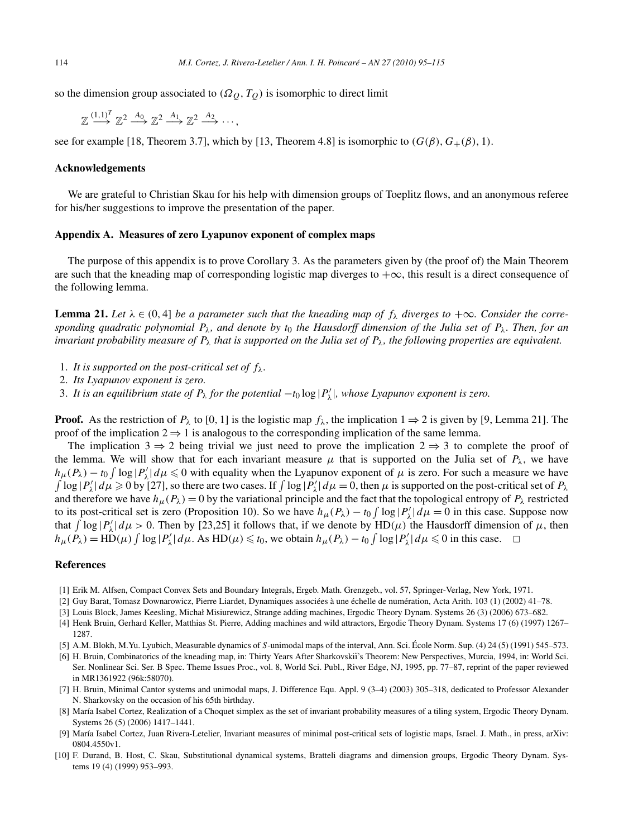so the dimension group associated to  $(\Omega_Q, T_Q)$  is isomorphic to direct limit

 $\mathbb{Z} \stackrel{(1,1)^T}{\longrightarrow} \mathbb{Z}^2 \stackrel{A_0}{\longrightarrow} \mathbb{Z}^2 \stackrel{A_1}{\longrightarrow} \mathbb{Z}^2 \stackrel{A_2}{\longrightarrow} \cdots$ 

see for example [18, Theorem 3.7], which by [13, Theorem 4.8] is isomorphic to  $(G(\beta), G_+(\beta), 1)$ .

# **Acknowledgements**

We are grateful to Christian Skau for his help with dimension groups of Toeplitz flows, and an anonymous referee for his/her suggestions to improve the presentation of the paper.

# **Appendix A. Measures of zero Lyapunov exponent of complex maps**

The purpose of this appendix is to prove Corollary 3. As the parameters given by (the proof of) the Main Theorem are such that the kneading map of corresponding logistic map diverges to  $+\infty$ , this result is a direct consequence of the following lemma.

**Lemma 21.** Let  $\lambda \in (0, 4]$  be a parameter such that the kneading map of  $f_{\lambda}$  diverges to  $+\infty$ . Consider the corre*sponding quadratic polynomial*  $P_\lambda$ *, and denote by t*<sub>0</sub> *the Hausdorff dimension of the Julia set of*  $P_\lambda$ *. Then, for an invariant probability measure of Pλ that is supported on the Julia set of Pλ, the following properties are equivalent.*

- 1. It is supported on the post-critical set of  $f_{\lambda}$ .
- 2. *Its Lyapunov exponent is zero.*
- 3. It is an equilibrium state of  $P_\lambda$  for the potential  $-t_0 \log |P'_\lambda|$ , whose Lyapunov exponent is zero.

**Proof.** As the restriction of  $P_\lambda$  to [0, 1] is the logistic map  $f_\lambda$ , the implication  $1 \Rightarrow 2$  is given by [9, Lemma 21]. The proof of the implication  $2 \Rightarrow 1$  is analogous to the corresponding implication of the same lemma.

The implication 3  $\Rightarrow$  2 being trivial we just need to prove the implication 2  $\Rightarrow$  3 to complete the proof of the lemma. We will show that for each invariant measure  $\mu$  that is supported on the Julia set of  $P_\lambda$ , we have  $h_\mu(P_\lambda) - t_0 \int \log |P'_\lambda| d\mu \leq 0$  with equality when the Lyapunov exponent of  $\mu$  is zero. For such a measure we have  $\int \log |P'_\lambda| d\mu \ge 0$  by [27], so there are two cases. If  $\int \log |P'_\lambda| d\mu = 0$ , then  $\mu$  is supported on the post-critical set of  $P_\lambda$ and therefore we have  $h_{\mu}(P_{\lambda}) = 0$  by the variational principle and the fact that the topological entropy of  $P_{\lambda}$  restricted to its post-critical set is zero (Proposition 10). So we have  $h_\mu(P_\lambda) - t_0 \int \log |P'_\lambda| d\mu = 0$  in this case. Suppose now that  $\int \log |P'_\lambda| d\mu > 0$ . Then by [23,25] it follows that, if we denote by  $HD(\mu)$  the Hausdorff dimension of  $\mu$ , then  $h_{\mu}(\hat{P}_{\lambda}) = \text{HD}(\mu) \int \log |P'_{\lambda}| d\mu$ . As  $\text{HD}(\mu) \leq t_0$ , we obtain  $h_{\mu}(P_{\lambda}) - t_0 \int \log |P'_{\lambda}| d\mu \leq 0$  in this case.  $\Box$ 

# **References**

- [1] Erik M. Alfsen, Compact Convex Sets and Boundary Integrals, Ergeb. Math. Grenzgeb., vol. 57, Springer-Verlag, New York, 1971.
- [2] Guy Barat, Tomasz Downarowicz, Pierre Liardet, Dynamiques associées à une échelle de numération, Acta Arith. 103 (1) (2002) 41–78.
- [3] Louis Block, James Keesling, Michał Misiurewicz, Strange adding machines, Ergodic Theory Dynam. Systems 26 (3) (2006) 673–682.
- [4] Henk Bruin, Gerhard Keller, Matthias St. Pierre, Adding machines and wild attractors, Ergodic Theory Dynam. Systems 17 (6) (1997) 1267– 1287.
- [5] A.M. Blokh, M.Yu. Lyubich, Measurable dynamics of *S*-unimodal maps of the interval, Ann. Sci. École Norm. Sup. (4) 24 (5) (1991) 545–573.
- [6] H. Bruin, Combinatorics of the kneading map, in: Thirty Years After Sharkovski˘ı's Theorem: New Perspectives, Murcia, 1994, in: World Sci. Ser. Nonlinear Sci. Ser. B Spec. Theme Issues Proc., vol. 8, World Sci. Publ., River Edge, NJ, 1995, pp. 77–87, reprint of the paper reviewed in MR1361922 (96k:58070).
- [7] H. Bruin, Minimal Cantor systems and unimodal maps, J. Difference Equ. Appl. 9 (3–4) (2003) 305–318, dedicated to Professor Alexander N. Sharkovsky on the occasion of his 65th birthday.
- [8] María Isabel Cortez, Realization of a Choquet simplex as the set of invariant probability measures of a tiling system, Ergodic Theory Dynam. Systems 26 (5) (2006) 1417–1441.
- [9] María Isabel Cortez, Juan Rivera-Letelier, Invariant measures of minimal post-critical sets of logistic maps, Israel. J. Math., in press, arXiv: 0804.4550v1.
- [10] F. Durand, B. Host, C. Skau, Substitutional dynamical systems, Bratteli diagrams and dimension groups, Ergodic Theory Dynam. Systems 19 (4) (1999) 953–993.